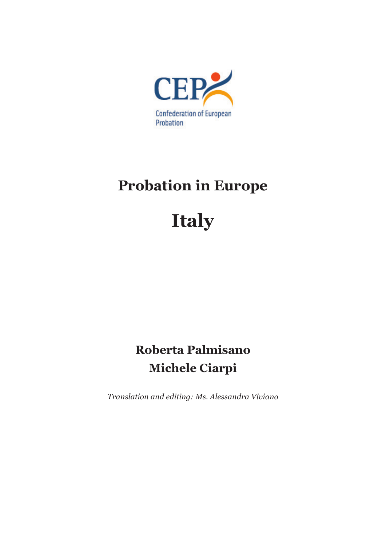

## **Probation in Europe**

# **Italy**

## **Roberta Palmisano Michele Ciarpi**

*Translation and editing: Ms. Alessandra Viviano*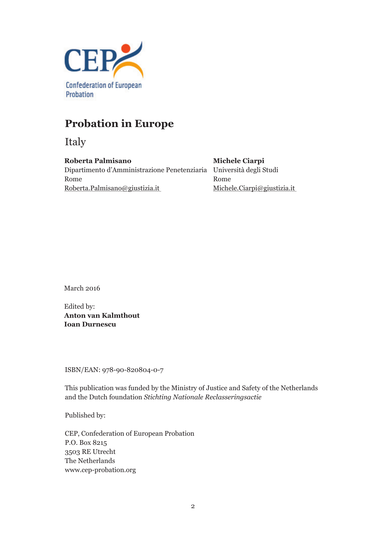

## **Probation in Europe**

Italy

**Roberta Palmisano** Dipartimento d'Amministrazione Penetenziaria Università degli Studi Rome Roberta.Palmisano@giustizia.it

**Michele Ciarpi** Rome Michele.Ciarpi@giustizia.it

March 2016

Edited by: **Anton van Kalmthout Ioan Durnescu**

ISBN/EAN: 978-90-820804-0-7

This publication was funded by the Ministry of Justice and Safety of the Netherlands and the Dutch foundation *Stichting Nationale Reclasseringsactie*

Published by:

CEP, Confederation of European Probation P.O. Box 8215 3503 RE Utrecht The Netherlands www.cep-probation.org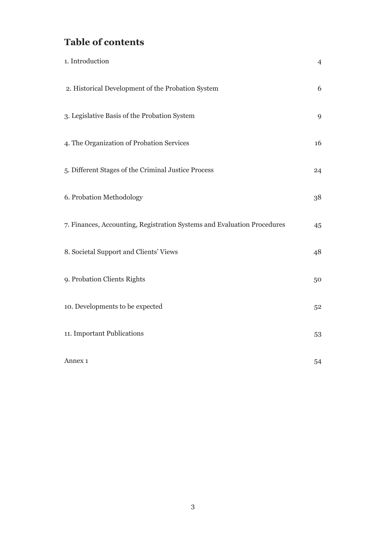## **Table of contents**

| 1. Introduction                                                         | $\overline{4}$ |
|-------------------------------------------------------------------------|----------------|
| 2. Historical Development of the Probation System                       | 6              |
| 3. Legislative Basis of the Probation System                            | 9              |
| 4. The Organization of Probation Services                               | 16             |
| 5. Different Stages of the Criminal Justice Process                     | 24             |
| 6. Probation Methodology                                                | 38             |
| 7. Finances, Accounting, Registration Systems and Evaluation Procedures | 45             |
| 8. Societal Support and Clients' Views                                  | 48             |
| 9. Probation Clients Rights                                             | 50             |
| 10. Developments to be expected                                         | 52             |
| 11. Important Publications                                              | 53             |
| Annex 1                                                                 | 54             |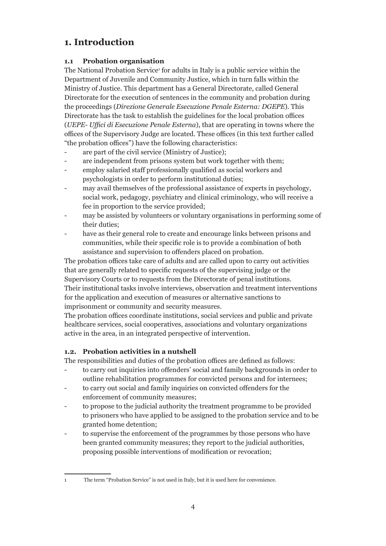## **1. Introduction**

#### **1.1 Probation organisation**

The National Probation Service<sup>1</sup> for adults in Italy is a public service within the Department of Juvenile and Community Justice, which in turn falls within the Ministry of Justice. This department has a General Directorate, called General Directorate for the execution of sentences in the community and probation during the proceedings (*Direzione Generale Esecuzione Penale Esterna: DGEPE*). This Directorate has the task to establish the guidelines for the local probation offices (*UEPE- Uffici di Esecuzione Penale Esterna*), that are operating in towns where the offices of the Supervisory Judge are located. These offices (in this text further called "the probation offices") have the following characteristics:

- are part of the civil service (Ministry of Justice);
- are independent from prisons system but work together with them;
- employ salaried staff professionally qualified as social workers and psychologists in order to perform institutional duties;
- may avail themselves of the professional assistance of experts in psychology, social work, pedagogy, psychiatry and clinical criminology, who will receive a fee in proportion to the service provided;
- may be assisted by volunteers or voluntary organisations in performing some of their duties;
- have as their general role to create and encourage links between prisons and communities, while their specific role is to provide a combination of both assistance and supervision to offenders placed on probation.

The probation offices take care of adults and are called upon to carry out activities that are generally related to specific requests of the supervising judge or the Supervisory Courts or to requests from the Directorate of penal institutions. Their institutional tasks involve interviews, observation and treatment interventions for the application and execution of measures or alternative sanctions to imprisonment or community and security measures.

The probation offices coordinate institutions, social services and public and private healthcare services, social cooperatives, associations and voluntary organizations active in the area, in an integrated perspective of intervention.

#### **1.2. Probation activities in a nutshell**

The responsibilities and duties of the probation offices are defined as follows:

- to carry out inquiries into offenders' social and family backgrounds in order to outline rehabilitation programmes for convicted persons and for internees;
- to carry out social and family inquiries on convicted offenders for the enforcement of community measures;
- to propose to the judicial authority the treatment programme to be provided to prisoners who have applied to be assigned to the probation service and to be granted home detention;
- to supervise the enforcement of the programmes by those persons who have been granted community measures; they report to the judicial authorities, proposing possible interventions of modification or revocation;

<sup>1</sup> The term "Probation Service" is not used in Italy, but it is used here for convenience.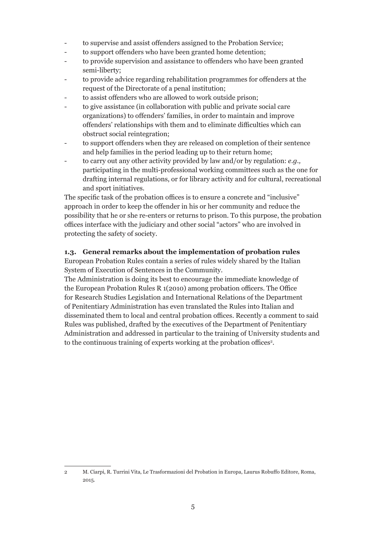- to supervise and assist offenders assigned to the Probation Service;
- to support offenders who have been granted home detention;
- to provide supervision and assistance to offenders who have been granted semi-liberty;
- to provide advice regarding rehabilitation programmes for offenders at the request of the Directorate of a penal institution;
- to assist offenders who are allowed to work outside prison:
- to give assistance (in collaboration with public and private social care organizations) to offenders' families, in order to maintain and improve offenders' relationships with them and to eliminate difficulties which can obstruct social reintegration;
- to support offenders when they are released on completion of their sentence and help families in the period leading up to their return home;
- to carry out any other activity provided by law and/or by regulation: *e.g.,* participating in the multi-professional working committees such as the one for drafting internal regulations, or for library activity and for cultural, recreational and sport initiatives.

The specific task of the probation offices is to ensure a concrete and "inclusive" approach in order to keep the offender in his or her community and reduce the possibility that he or she re-enters or returns to prison. To this purpose, the probation offices interface with the judiciary and other social "actors" who are involved in protecting the safety of society.

#### **1.3. General remarks about the implementation of probation rules**

European Probation Rules contain a series of rules widely shared by the Italian System of Execution of Sentences in the Community.

The Administration is doing its best to encourage the immediate knowledge of the European Probation Rules R 1(2010) among probation officers. The Office for Research Studies Legislation and International Relations of the Department of Penitentiary Administration has even translated the Rules into Italian and disseminated them to local and central probation offices. Recently a comment to said Rules was published, drafted by the executives of the Department of Penitentiary Administration and addressed in particular to the training of University students and to the continuous training of experts working at the probation offices<sup>2</sup>.

<sup>2</sup> M. Ciarpi, R. Turrini Vita, Le Trasformazioni del Probation in Europa, Laurus Robuffo Editore, Roma, 2015.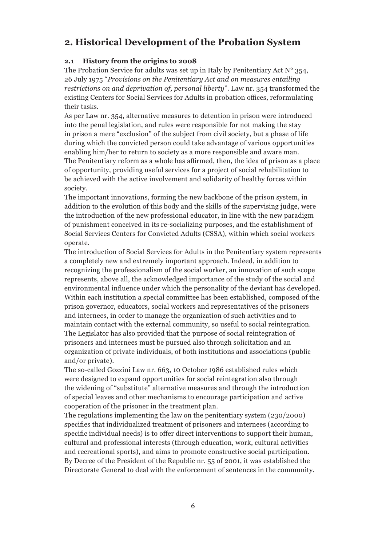## **2. Historical Development of the Probation System**

#### **2.1 History from the origins to 2008**

The Probation Service for adults was set up in Italy by Penitentiary Act  $N^{\circ}$  354, 26 July 1975 "*Provisions on the Penitentiary Act and on measures entailing restrictions on and deprivation of, personal liberty*". Law nr. 354 transformed the existing Centers for Social Services for Adults in probation offices, reformulating their tasks.

As per Law nr. 354, alternative measures to detention in prison were introduced into the penal legislation, and rules were responsible for not making the stay in prison a mere "exclusion" of the subject from civil society, but a phase of life during which the convicted person could take advantage of various opportunities enabling him/her to return to society as a more responsible and aware man. The Penitentiary reform as a whole has affirmed, then, the idea of prison as a place of opportunity, providing useful services for a project of social rehabilitation to be achieved with the active involvement and solidarity of healthy forces within society.

The important innovations, forming the new backbone of the prison system, in addition to the evolution of this body and the skills of the supervising judge, were the introduction of the new professional educator, in line with the new paradigm of punishment conceived in its re-socializing purposes, and the establishment of Social Services Centers for Convicted Adults (CSSA), within which social workers operate.

The introduction of Social Services for Adults in the Penitentiary system represents a completely new and extremely important approach. Indeed, in addition to recognizing the professionalism of the social worker, an innovation of such scope represents, above all, the acknowledged importance of the study of the social and environmental influence under which the personality of the deviant has developed. Within each institution a special committee has been established, composed of the prison governor, educators, social workers and representatives of the prisoners and internees, in order to manage the organization of such activities and to maintain contact with the external community, so useful to social reintegration. The Legislator has also provided that the purpose of social reintegration of prisoners and internees must be pursued also through solicitation and an organization of private individuals, of both institutions and associations (public and/or private).

The so-called Gozzini Law nr. 663, 10 October 1986 established rules which were designed to expand opportunities for social reintegration also through the widening of "substitute" alternative measures and through the introduction of special leaves and other mechanisms to encourage participation and active cooperation of the prisoner in the treatment plan.

The regulations implementing the law on the penitentiary system (230/2000) specifies that individualized treatment of prisoners and internees (according to specific individual needs) is to offer direct interventions to support their human, cultural and professional interests (through education, work, cultural activities and recreational sports), and aims to promote constructive social participation. By Decree of the President of the Republic nr. 55 of 2001, it was established the Directorate General to deal with the enforcement of sentences in the community.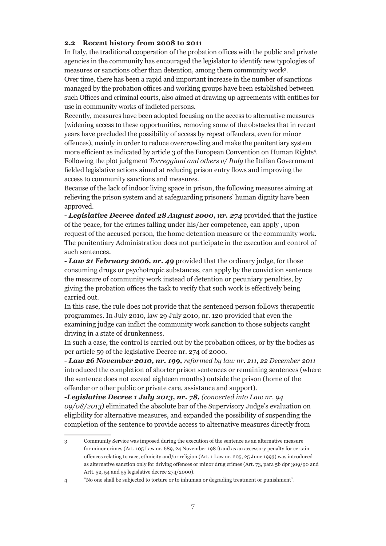#### **2.2 Recent history from 2008 to 2011**

In Italy, the traditional cooperation of the probation offices with the public and private agencies in the community has encouraged the legislator to identify new typologies of measures or sanctions other than detention, among them community work<sup>3</sup>.

Over time, there has been a rapid and important increase in the number of sanctions managed by the probation offices and working groups have been established between such Offices and criminal courts, also aimed at drawing up agreements with entities for use in community works of indicted persons.

Recently, measures have been adopted focusing on the access to alternative measures (widening access to these opportunities, removing some of the obstacles that in recent years have precluded the possibility of access by repeat offenders, even for minor offences), mainly in order to reduce overcrowding and make the penitentiary system more efficient as indicated by article 3 of the European Convention on Human Rights<sup>4</sup> . Following the plot judgment *Torreggiani and others v/ Italy* the Italian Government fielded legislative actions aimed at reducing prison entry flows and improving the access to community sanctions and measures.

Because of the lack of indoor living space in prison, the following measures aiming at relieving the prison system and at safeguarding prisoners' human dignity have been approved.

**-** *Legislative Decree dated 28 August 2000, nr. 274* provided that the justice of the peace, for the crimes falling under his/her competence, can apply , upon request of the accused person, the home detention measure or the community work. The penitentiary Administration does not participate in the execution and control of such sentences.

**-** *Law 21 February 2006, nr. 49* provided that the ordinary judge, for those consuming drugs or psychotropic substances, can apply by the conviction sentence the measure of community work instead of detention or pecuniary penalties, by giving the probation offices the task to verify that such work is effectively being carried out.

In this case, the rule does not provide that the sentenced person follows therapeutic programmes. In July 2010, law 29 July 2010, nr. 120 provided that even the examining judge can inflict the community work sanction to those subjects caught driving in a state of drunkenness.

In such a case, the control is carried out by the probation offices, or by the bodies as per article 59 of the legislative Decree nr. 274 of 2000.

*- Law 26 November 2010, nr. 199, reformed by law nr. 211, 22 December 2011* introduced the completion of shorter prison sentences or remaining sentences (where the sentence does not exceed eighteen months) outside the prison (home of the offender or other public or private care, assistance and support).

*-Legislative Decree 1 July 2013, nr. 78, (converted into Law nr. 94 09/08/2013)* eliminated the absolute bar of the Supervisory Judge's evaluation on eligibility for alternative measures, and expanded the possibility of suspending the completion of the sentence to provide access to alternative measures directly from

<sup>3</sup> Community Service was imposed during the execution of the sentence as an alternative measure for minor crimes (Art. 105 Law nr. 689, 24 November 1981) and as an accessory penalty for certain offences relating to race, ethnicity and/or religion (Art. 1 Law nr. 205, 25 June 1993) was introduced as alternative sanction only for driving offences or minor drug crimes (Art. 73, para 5b dpr 309/90 and Artt. 52, 54 and 55 legislative decree 274/2000).

<sup>4 &</sup>quot;No one shall be subjected to torture or to inhuman or degrading treatment or punishment".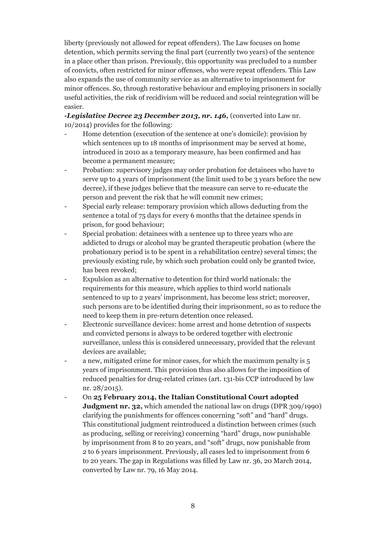liberty (previously not allowed for repeat offenders). The Law focuses on home detention, which permits serving the final part (currently two years) of the sentence in a place other than prison. Previously, this opportunity was precluded to a number of convicts, often restricted for minor offenses, who were repeat offenders. This Law also expands the use of community service as an alternative to imprisonment for minor offences. So, through restorative behaviour and employing prisoners in socially useful activities, the risk of recidivism will be reduced and social reintegration will be easier.

*-Legislative Decree 23 December 2013, nr. 146,* (converted into Law nr. 10/2014) provides for the following:

- Home detention (execution of the sentence at one's domicile): provision by which sentences up to 18 months of imprisonment may be served at home, introduced in 2010 as a temporary measure, has been confirmed and has become a permanent measure;
- Probation: supervisory judges may order probation for detainees who have to serve up to 4 years of imprisonment (the limit used to be 3 years before the new decree), if these judges believe that the measure can serve to re-educate the person and prevent the risk that he will commit new crimes;
- Special early release: temporary provision which allows deducting from the sentence a total of 75 days for every 6 months that the detainee spends in prison, for good behaviour;
- Special probation: detainees with a sentence up to three years who are addicted to drugs or alcohol may be granted therapeutic probation (where the probationary period is to be spent in a rehabilitation centre) several times; the previously existing rule, by which such probation could only be granted twice, has been revoked;
- Expulsion as an alternative to detention for third world nationals: the requirements for this measure, which applies to third world nationals sentenced to up to 2 years' imprisonment, has become less strict; moreover, such persons are to be identified during their imprisonment, so as to reduce the need to keep them in pre-return detention once released.
- Electronic surveillance devices: home arrest and home detention of suspects and convicted persons is always to be ordered together with electronic surveillance, unless this is considered unnecessary, provided that the relevant devices are available;
- a new, mitigated crime for minor cases, for which the maximum penalty is 5 years of imprisonment. This provision thus also allows for the imposition of reduced penalties for drug-related crimes (art. 131-bis CCP introduced by law nr. 28/2015).
- On **25 February 2014, the Italian Constitutional Court adopted Judgment nr. 32,** which amended the national law on drugs (DPR 309/1990) clarifying the punishments for offences concerning "soft" and "hard" drugs. This constitutional judgment reintroduced a distinction between crimes (such as producing, selling or receiving) concerning "hard" drugs, now punishable by imprisonment from 8 to 20 years, and "soft" drugs, now punishable from 2 to 6 years imprisonment. Previously, all cases led to imprisonment from 6 to 20 years. The gap in Regulations was filled by Law nr. 36, 20 March 2014, converted by Law nr. 79, 16 May 2014.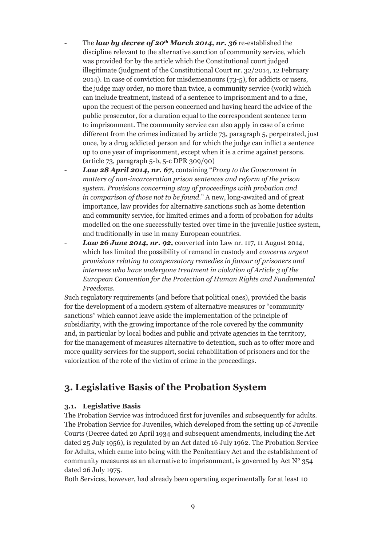- The *law by decree of 20<sup>th</sup> March 2014, nr. 36* re-established the discipline relevant to the alternative sanction of community service, which was provided for by the article which the Constitutional court judged illegitimate (judgment of the Constitutional Court nr. 32/2014, 12 February 2014). In case of conviction for misdemeanours (73-5), for addicts or users, the judge may order, no more than twice, a community service (work) which can include treatment, instead of a sentence to imprisonment and to a fine, upon the request of the person concerned and having heard the advice of the public prosecutor, for a duration equal to the correspondent sentence term to imprisonment. The community service can also apply in case of a crime different from the crimes indicated by article 73, paragraph 5, perpetrated, just once, by a drug addicted person and for which the judge can inflict a sentence up to one year of imprisonment, except when it is a crime against persons. (article 73, paragraph 5-b, 5-c DPR 309/90)
- *Law 28 April 2014, nr. 67***,** containing "*Proxy to the Government in matters of non-incarceration prison sentences and reform of the prison system. Provisions concerning stay of proceedings with probation and in comparison of those not to be found.*" A new, long-awaited and of great importance, law provides for alternative sanctions such as home detention and community service, for limited crimes and a form of probation for adults modelled on the one successfully tested over time in the juvenile justice system, and traditionally in use in many European countries.
- *Law 26 June 2014, nr. 92,* converted into Law nr. 117, 11 August 2014, which has limited the possibility of remand in custody and *concerns urgent provisions relating to compensatory remedies in favour of prisoners and internees who have undergone treatment in violation of Article 3 of the European Convention for the Protection of Human Rights and Fundamental Freedoms.*

Such regulatory requirements (and before that political ones), provided the basis for the development of a modern system of alternative measures or "community sanctions" which cannot leave aside the implementation of the principle of subsidiarity, with the growing importance of the role covered by the community and, in particular by local bodies and public and private agencies in the territory, for the management of measures alternative to detention, such as to offer more and more quality services for the support, social rehabilitation of prisoners and for the valorization of the role of the victim of crime in the proceedings.

## **3. Legislative Basis of the Probation System**

#### **3.1. Legislative Basis**

The Probation Service was introduced first for juveniles and subsequently for adults. The Probation Service for Juveniles, which developed from the setting up of Juvenile Courts (Decree dated 20 April 1934 and subsequent amendments, including the Act dated 25 July 1956), is regulated by an Act dated 16 July 1962. The Probation Service for Adults, which came into being with the Penitentiary Act and the establishment of community measures as an alternative to imprisonment, is governed by Act  $N^{\circ}$  354 dated 26 July 1975.

Both Services, however, had already been operating experimentally for at least 10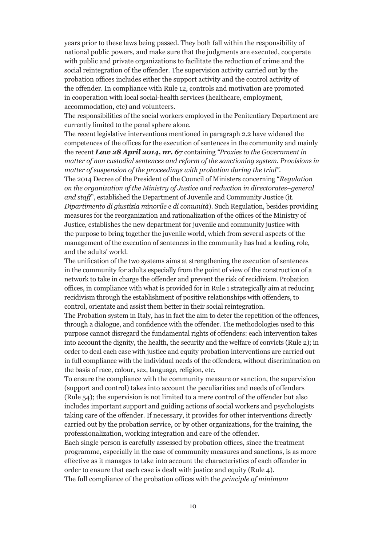years prior to these laws being passed. They both fall within the responsibility of national public powers, and make sure that the judgments are executed, cooperate with public and private organizations to facilitate the reduction of crime and the social reintegration of the offender. The supervision activity carried out by the probation offices includes either the support activity and the control activity of the offender. In compliance with Rule 12, controls and motivation are promoted in cooperation with local social-health services (healthcare, employment, accommodation, etc) and volunteers.

The responsibilities of the social workers employed in the Penitentiary Department are currently limited to the penal sphere alone.

The recent legislative interventions mentioned in paragraph 2.2 have widened the competences of the offices for the execution of sentences in the community and mainly the recent *Law 28 April 2014, nr. 67* containing *"Proxies to the Government in matter of non custodial sentences and reform of the sanctioning system. Provisions in matter of suspension of the proceedings with probation during the trial".* The 2014 Decree of the President of the Council of Ministers concerning "*Regulation on the organization of the Ministry of Justice and reduction in directorates–general and staff*", established the Department of Juvenile and Community Justice (it. *Dipartimento di giustizia minorile e di comunità*). Such Regulation, besides providing measures for the reorganization and rationalization of the offices of the Ministry of Justice, establishes the new department for juvenile and community justice with the purpose to bring together the juvenile world, which from several aspects of the management of the execution of sentences in the community has had a leading role, and the adults' world.

The unification of the two systems aims at strengthening the execution of sentences in the community for adults especially from the point of view of the construction of a network to take in charge the offender and prevent the risk of recidivism. Probation offices, in compliance with what is provided for in Rule 1 strategically aim at reducing recidivism through the establishment of positive relationships with offenders, to control, orientate and assist them better in their social reintegration.

The Probation system in Italy, has in fact the aim to deter the repetition of the offences, through a dialogue, and confidence with the offender. The methodologies used to this purpose cannot disregard the fundamental rights of offenders: each intervention takes into account the dignity, the health, the security and the welfare of convicts (Rule 2); in order to deal each case with justice and equity probation interventions are carried out in full compliance with the individual needs of the offenders, without discrimination on the basis of race, colour, sex, language, religion, etc.

To ensure the compliance with the community measure or sanction, the supervision (support and control) takes into account the peculiarities and needs of offenders (Rule 54); the supervision is not limited to a mere control of the offender but also includes important support and guiding actions of social workers and psychologists taking care of the offender. If necessary, it provides for other interventions directly carried out by the probation service, or by other organizations, for the training, the professionalization, working integration and care of the offender.

Each single person is carefully assessed by probation offices, since the treatment programme, especially in the case of community measures and sanctions, is as more effective as it manages to take into account the characteristics of each offender in order to ensure that each case is dealt with justice and equity (Rule 4). The full compliance of the probation offices with the *principle of minimum*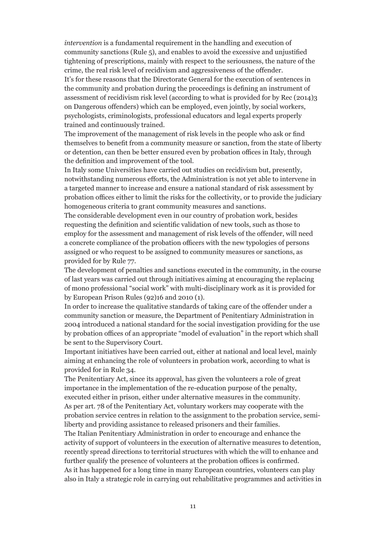*intervention* is a fundamental requirement in the handling and execution of community sanctions (Rule  $5$ ), and enables to avoid the excessive and unjustified tightening of prescriptions, mainly with respect to the seriousness, the nature of the crime, the real risk level of recidivism and aggressiveness of the offender. It's for these reasons that the Directorate General for the execution of sentences in the community and probation during the proceedings is defining an instrument of assessment of recidivism risk level (according to what is provided for by Rec (2014)3 on Dangerous offenders) which can be employed, even jointly, by social workers, psychologists, criminologists, professional educators and legal experts properly

trained and continuously trained.

The improvement of the management of risk levels in the people who ask or find themselves to benefit from a community measure or sanction, from the state of liberty or detention, can then be better ensured even by probation offices in Italy, through the definition and improvement of the tool.

In Italy some Universities have carried out studies on recidivism but, presently, notwithstanding numerous efforts, the Administration is not yet able to intervene in a targeted manner to increase and ensure a national standard of risk assessment by probation offices either to limit the risks for the collectivity, or to provide the judiciary homogeneous criteria to grant community measures and sanctions.

The considerable development even in our country of probation work, besides requesting the definition and scientific validation of new tools, such as those to employ for the assessment and management of risk levels of the offender, will need a concrete compliance of the probation officers with the new typologies of persons assigned or who request to be assigned to community measures or sanctions, as provided for by Rule 77.

The development of penalties and sanctions executed in the community, in the course of last years was carried out through initiatives aiming at encouraging the replacing of mono professional "social work" with multi-disciplinary work as it is provided for by European Prison Rules (92)16 and 2010 (1).

In order to increase the qualitative standards of taking care of the offender under a community sanction or measure, the Department of Penitentiary Administration in 2004 introduced a national standard for the social investigation providing for the use by probation offices of an appropriate "model of evaluation" in the report which shall be sent to the Supervisory Court.

Important initiatives have been carried out, either at national and local level, mainly aiming at enhancing the role of volunteers in probation work, according to what is provided for in Rule 34.

The Penitentiary Act, since its approval, has given the volunteers a role of great importance in the implementation of the re-education purpose of the penalty, executed either in prison, either under alternative measures in the community. As per art. 78 of the Penitentiary Act, voluntary workers may cooperate with the probation service centres in relation to the assignment to the probation service, semiliberty and providing assistance to released prisoners and their families*.* 

The Italian Penitentiary Administration in order to encourage and enhance the activity of support of volunteers in the execution of alternative measures to detention, recently spread directions to territorial structures with which the will to enhance and further qualify the presence of volunteers at the probation offices is confirmed. As it has happened for a long time in many European countries, volunteers can play also in Italy a strategic role in carrying out rehabilitative programmes and activities in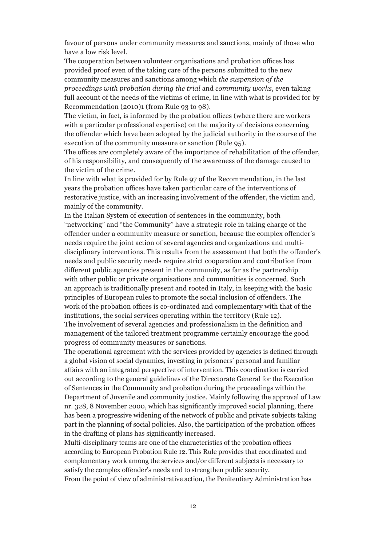favour of persons under community measures and sanctions, mainly of those who have a low risk level.

The cooperation between volunteer organisations and probation offices has provided proof even of the taking care of the persons submitted to the new community measures and sanctions among which *the suspension of the proceedings with probation during the trial* and *community works*, even taking full account of the needs of the victims of crime, in line with what is provided for by Recommendation (2010)1 (from Rule 93 to 98).

The victim, in fact, is informed by the probation offices (where there are workers with a particular professional expertise) on the majority of decisions concerning the offender which have been adopted by the judicial authority in the course of the execution of the community measure or sanction (Rule 95).

The offices are completely aware of the importance of rehabilitation of the offender, of his responsibility, and consequently of the awareness of the damage caused to the victim of the crime.

In line with what is provided for by Rule 97 of the Recommendation, in the last years the probation offices have taken particular care of the interventions of restorative justice, with an increasing involvement of the offender, the victim and, mainly of the community.

In the Italian System of execution of sentences in the community, both "networking" and "the Community" have a strategic role in taking charge of the offender under a community measure or sanction, because the complex offender's needs require the joint action of several agencies and organizations and multidisciplinary interventions. This results from the assessment that both the offender's needs and public security needs require strict cooperation and contribution from different public agencies present in the community, as far as the partnership with other public or private organisations and communities is concerned. Such an approach is traditionally present and rooted in Italy, in keeping with the basic principles of European rules to promote the social inclusion of offenders. The work of the probation offices is co-ordinated and complementary with that of the institutions, the social services operating within the territory (Rule 12). The involvement of several agencies and professionalism in the definition and

management of the tailored treatment programme certainly encourage the good progress of community measures or sanctions.

The operational agreement with the services provided by agencies is defined through a global vision of social dynamics, investing in prisoners' personal and familiar affairs with an integrated perspective of intervention. This coordination is carried out according to the general guidelines of the Directorate General for the Execution of Sentences in the Community and probation during the proceedings within the Department of Juvenile and community justice. Mainly following the approval of Law nr. 328, 8 November 2000, which has significantly improved social planning, there has been a progressive widening of the network of public and private subjects taking part in the planning of social policies. Also, the participation of the probation offices in the drafting of plans has significantly increased.

Multi-disciplinary teams are one of the characteristics of the probation offices according to European Probation Rule 12. This Rule provides that coordinated and complementary work among the services and/or different subjects is necessary to satisfy the complex offender's needs and to strengthen public security. From the point of view of administrative action, the Penitentiary Administration has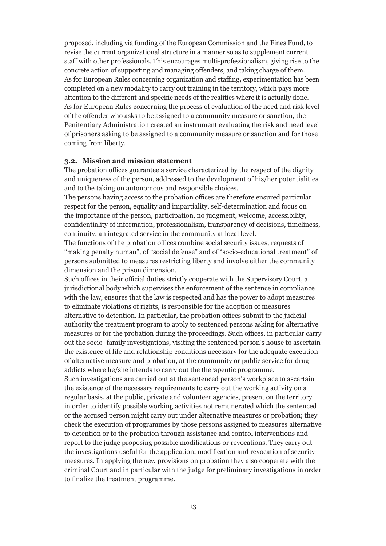proposed, including via funding of the European Commission and the Fines Fund, to revise the current organizational structure in a manner so as to supplement current staff with other professionals. This encourages multi-professionalism, giving rise to the concrete action of supporting and managing offenders, and taking charge of them. As for European Rules concerning organization and staffing**,** experimentation has been completed on a new modality to carry out training in the territory, which pays more attention to the different and specific needs of the realities where it is actually done. As for European Rules concerning the process of evaluation of the need and risk level of the offender who asks to be assigned to a community measure or sanction, the Penitentiary Administration created an instrument evaluating the risk and need level of prisoners asking to be assigned to a community measure or sanction and for those coming from liberty.

#### **3.2. Mission and mission statement**

The probation offices guarantee a service characterized by the respect of the dignity and uniqueness of the person, addressed to the development of his/her potentialities and to the taking on autonomous and responsible choices.

The persons having access to the probation offices are therefore ensured particular respect for the person, equality and impartiality, self-determination and focus on the importance of the person, participation, no judgment, welcome, accessibility, confidentiality of information, professionalism, transparency of decisions, timeliness, continuity, an integrated service in the community at local level.

The functions of the probation offices combine social security issues, requests of "making penalty human", of "social defense" and of "socio-educational treatment" of persons submitted to measures restricting liberty and involve either the community dimension and the prison dimension.

Such offices in their official duties strictly cooperate with the Supervisory Court, a jurisdictional body which supervises the enforcement of the sentence in compliance with the law, ensures that the law is respected and has the power to adopt measures to eliminate violations of rights, is responsible for the adoption of measures alternative to detention. In particular, the probation offices submit to the judicial authority the treatment program to apply to sentenced persons asking for alternative measures or for the probation during the proceedings. Such offices, in particular carry out the socio- family investigations, visiting the sentenced person's house to ascertain the existence of life and relationship conditions necessary for the adequate execution of alternative measure and probation, at the community or public service for drug addicts where he/she intends to carry out the therapeutic programme.

Such investigations are carried out at the sentenced person's workplace to ascertain the existence of the necessary requirements to carry out the working activity on a regular basis, at the public, private and volunteer agencies, present on the territory in order to identify possible working activities not remunerated which the sentenced or the accused person might carry out under alternative measures or probation; they check the execution of programmes by those persons assigned to measures alternative to detention or to the probation through assistance and control interventions and report to the judge proposing possible modifications or revocations. They carry out the investigations useful for the application, modification and revocation of security measures. In applying the new provisions on probation they also cooperate with the criminal Court and in particular with the judge for preliminary investigations in order to finalize the treatment programme.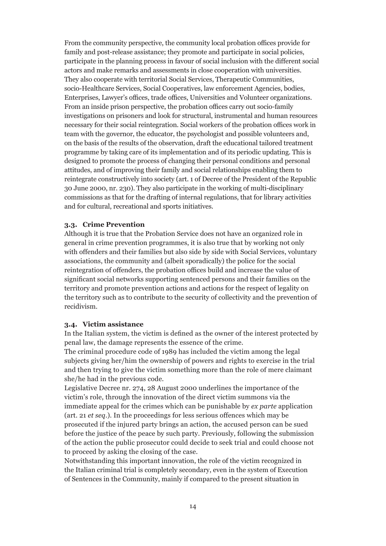From the community perspective, the community local probation offices provide for family and post-release assistance; they promote and participate in social policies, participate in the planning process in favour of social inclusion with the different social actors and make remarks and assessments in close cooperation with universities. They also cooperate with territorial Social Services, Therapeutic Communities, socio-Healthcare Services, Social Cooperatives, law enforcement Agencies, bodies, Enterprises, Lawyer's offices, trade offices, Universities and Volunteer organizations. From an inside prison perspective, the probation offices carry out socio-family investigations on prisoners and look for structural, instrumental and human resources necessary for their social reintegration. Social workers of the probation offices work in team with the governor, the educator, the psychologist and possible volunteers and, on the basis of the results of the observation, draft the educational tailored treatment programme by taking care of its implementation and of its periodic updating. This is designed to promote the process of changing their personal conditions and personal attitudes, and of improving their family and social relationships enabling them to reintegrate constructively into society (art. 1 of Decree of the President of the Republic 30 June 2000, nr. 230). They also participate in the working of multi-disciplinary commissions as that for the drafting of internal regulations, that for library activities and for cultural, recreational and sports initiatives.

#### **3.3. Crime Prevention**

Although it is true that the Probation Service does not have an organized role in general in crime prevention programmes, it is also true that by working not only with offenders and their families but also side by side with Social Services, voluntary associations, the community and (albeit sporadically) the police for the social reintegration of offenders, the probation offices build and increase the value of significant social networks supporting sentenced persons and their families on the territory and promote prevention actions and actions for the respect of legality on the territory such as to contribute to the security of collectivity and the prevention of recidivism.

#### **3.4. Victim assistance**

In the Italian system, the victim is defined as the owner of the interest protected by penal law, the damage represents the essence of the crime.

The criminal procedure code of 1989 has included the victim among the legal subjects giving her/him the ownership of powers and rights to exercise in the trial and then trying to give the victim something more than the role of mere claimant she/he had in the previous code.

Legislative Decree nr. 274, 28 August 2000 underlines the importance of the victim's role, through the innovation of the direct victim summons via the immediate appeal for the crimes which can be punishable by *ex parte* application (art. 21 *et seq*.). In the proceedings for less serious offences which may be prosecuted if the injured party brings an action, the accused person can be sued before the justice of the peace by such party. Previously, following the submission of the action the public prosecutor could decide to seek trial and could choose not to proceed by asking the closing of the case.

Notwithstanding this important innovation, the role of the victim recognized in the Italian criminal trial is completely secondary, even in the system of Execution of Sentences in the Community, mainly if compared to the present situation in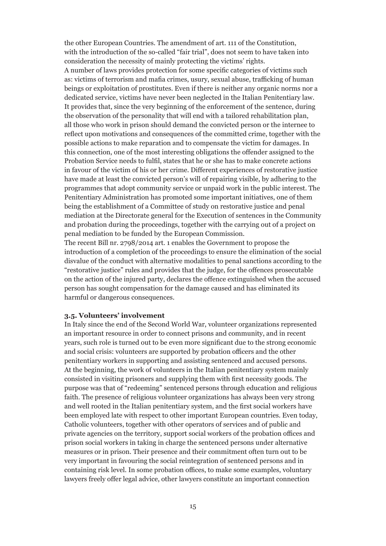the other European Countries. The amendment of art. 111 of the Constitution, with the introduction of the so-called "fair trial", does not seem to have taken into consideration the necessity of mainly protecting the victims' rights. A number of laws provides protection for some specific categories of victims such as: victims of terrorism and mafia crimes, usury, sexual abuse, trafficking of human beings or exploitation of prostitutes. Even if there is neither any organic norms nor a dedicated service, victims have never been neglected in the Italian Penitentiary law. It provides that, since the very beginning of the enforcement of the sentence, during the observation of the personality that will end with a tailored rehabilitation plan, all those who work in prison should demand the convicted person or the internee to reflect upon motivations and consequences of the committed crime, together with the possible actions to make reparation and to compensate the victim for damages. In this connection, one of the most interesting obligations the offender assigned to the Probation Service needs to fulfil, states that he or she has to make concrete actions in favour of the victim of his or her crime. Different experiences of restorative justice have made at least the convicted person's will of repairing visible, by adhering to the programmes that adopt community service or unpaid work in the public interest. The Penitentiary Administration has promoted some important initiatives, one of them being the establishment of a Committee of study on restorative justice and penal mediation at the Directorate general for the Execution of sentences in the Community and probation during the proceedings, together with the carrying out of a project on penal mediation to be funded by the European Commission.

The recent Bill nr. 2798/2014 art. 1 enables the Government to propose the introduction of a completion of the proceedings to ensure the elimination of the social disvalue of the conduct with alternative modalities to penal sanctions according to the "restorative justice" rules and provides that the judge, for the offences prosecutable on the action of the injured party, declares the offence extinguished when the accused person has sought compensation for the damage caused and has eliminated its harmful or dangerous consequences.

#### **3.5. Volunteers' involvement**

In Italy since the end of the Second World War, volunteer organizations represented an important resource in order to connect prisons and community, and in recent years, such role is turned out to be even more significant due to the strong economic and social crisis: volunteers are supported by probation officers and the other penitentiary workers in supporting and assisting sentenced and accused persons. At the beginning, the work of volunteers in the Italian penitentiary system mainly consisted in visiting prisoners and supplying them with first necessity goods. The purpose was that of "redeeming" sentenced persons through education and religious faith. The presence of religious volunteer organizations has always been very strong and well rooted in the Italian penitentiary system, and the first social workers have been employed late with respect to other important European countries. Even today, Catholic volunteers, together with other operators of services and of public and private agencies on the territory, support social workers of the probation offices and prison social workers in taking in charge the sentenced persons under alternative measures or in prison. Their presence and their commitment often turn out to be very important in favouring the social reintegration of sentenced persons and in containing risk level. In some probation offices, to make some examples, voluntary lawyers freely offer legal advice, other lawyers constitute an important connection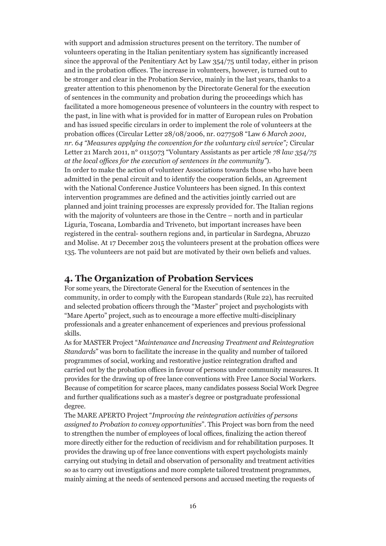with support and admission structures present on the territory. The number of volunteers operating in the Italian penitentiary system has significantly increased since the approval of the Penitentiary Act by Law 354/75 until today, either in prison and in the probation offices. The increase in volunteers, however, is turned out to be stronger and clear in the Probation Service, mainly in the last years, thanks to a greater attention to this phenomenon by the Directorate General for the execution of sentences in the community and probation during the proceedings which has facilitated a more homogeneous presence of volunteers in the country with respect to the past, in line with what is provided for in matter of European rules on Probation and has issued specific circulars in order to implement the role of volunteers at the probation offices (Circular Letter 28/08/2006, nr. 0277508 "Law *6 March 2001, nr. 64 "Measures applying the convention for the voluntary civil service";* Circular Letter 21 March 2011, n° 0115073 "Voluntary Assistants as per article *78 law 354/75 at the local offices for the execution of sentences in the community"*). In order to make the action of volunteer Associations towards those who have been admitted in the penal circuit and to identify the cooperation fields, an Agreement with the National Conference Justice Volunteers has been signed. In this context intervention programmes are defined and the activities jointly carried out are planned and joint training processes are expressly provided for. The Italian regions with the majority of volunteers are those in the Centre – north and in particular Liguria, Toscana, Lombardia and Triveneto, but important increases have been registered in the central- southern regions and, in particular in Sardegna, Abruzzo and Molise. At 17 December 2015 the volunteers present at the probation offices were 135. The volunteers are not paid but are motivated by their own beliefs and values.

#### **4. The Organization of Probation Services**

For some years, the Directorate General for the Execution of sentences in the community, in order to comply with the European standards (Rule 22), has recruited and selected probation officers through the "Master" project and psychologists with "Mare Aperto" project, such as to encourage a more effective multi-disciplinary professionals and a greater enhancement of experiences and previous professional skills.

As for MASTER Project "*Maintenance and Increasing Treatment and Reintegration Standards*" was born to facilitate the increase in the quality and number of tailored programmes of social, working and restorative justice reintegration drafted and carried out by the probation offices in favour of persons under community measures. It provides for the drawing up of free lance conventions with Free Lance Social Workers. Because of competition for scarce places, many candidates possess Social Work Degree and further qualifications such as a master's degree or postgraduate professional degree.

The MARE APERTO Project "*Improving the reintegration activities of persons assigned to Probation to convey opportunities*". This Project was born from the need to strengthen the number of employees of local offices, finalizing the action thereof more directly either for the reduction of recidivism and for rehabilitation purposes. It provides the drawing up of free lance conventions with expert psychologists mainly carrying out studying in detail and observation of personality and treatment activities so as to carry out investigations and more complete tailored treatment programmes, mainly aiming at the needs of sentenced persons and accused meeting the requests of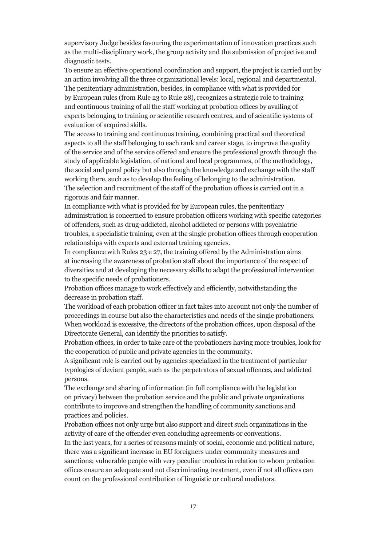supervisory Judge besides favouring the experimentation of innovation practices such as the multi-disciplinary work, the group activity and the submission of projective and diagnostic tests.

To ensure an effective operational coordination and support, the project is carried out by an action involving all the three organizational levels: local, regional and departmental. The penitentiary administration, besides, in compliance with what is provided for by European rules (from Rule 23 to Rule 28), recognizes a strategic role to training and continuous training of all the staff working at probation offices by availing of experts belonging to training or scientific research centres, and of scientific systems of evaluation of acquired skills.

The access to training and continuous training, combining practical and theoretical aspects to all the staff belonging to each rank and career stage, to improve the quality of the service and of the service offered and ensure the professional growth through the study of applicable legislation, of national and local programmes, of the methodology, the social and penal policy but also through the knowledge and exchange with the staff working there, such as to develop the feeling of belonging to the administration. The selection and recruitment of the staff of the probation offices is carried out in a rigorous and fair manner.

In compliance with what is provided for by European rules, the penitentiary administration is concerned to ensure probation officers working with specific categories of offenders, such as drug-addicted, alcohol addicted or persons with psychiatric troubles, a specialistic training, even at the single probation offices through cooperation relationships with experts and external training agencies.

In compliance with Rules 23 e 27, the training offered by the Administration aims at increasing the awareness of probation staff about the importance of the respect of diversities and at developing the necessary skills to adapt the professional intervention to the specific needs of probationers.

Probation offices manage to work effectively and efficiently, notwithstanding the decrease in probation staff.

The workload of each probation officer in fact takes into account not only the number of proceedings in course but also the characteristics and needs of the single probationers. When workload is excessive, the directors of the probation offices, upon disposal of the Directorate General, can identify the priorities to satisfy.

Probation offices, in order to take care of the probationers having more troubles, look for the cooperation of public and private agencies in the community.

A significant role is carried out by agencies specialized in the treatment of particular typologies of deviant people, such as the perpetrators of sexual offences, and addicted persons.

The exchange and sharing of information (in full compliance with the legislation on privacy) between the probation service and the public and private organizations contribute to improve and strengthen the handling of community sanctions and practices and policies.

Probation offices not only urge but also support and direct such organizations in the activity of care of the offender even concluding agreements or conventions.

In the last years, for a series of reasons mainly of social, economic and political nature, there was a significant increase in EU foreigners under community measures and sanctions; vulnerable people with very peculiar troubles in relation to whom probation offices ensure an adequate and not discriminating treatment, even if not all offices can count on the professional contribution of linguistic or cultural mediators.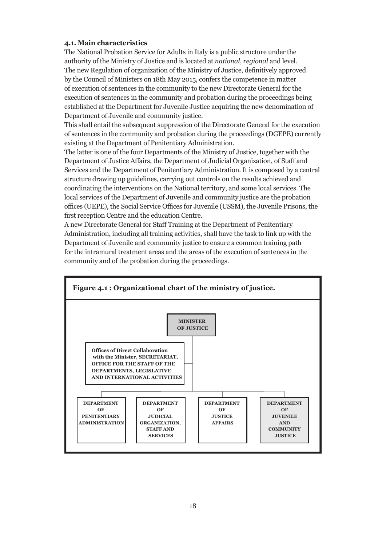#### **4.1. Main characteristics**

The National Probation Service for Adults in Italy is a public structure under the authority of the Ministry of Justice and is located at *national*, *regional* and level. The new Regulation of organization of the Ministry of Justice, definitively approved by the Council of Ministers on 18th May 2015, confers the competence in matter of execution of sentences in the community to the new Directorate General for the execution of sentences in the community and probation during the proceedings being established at the Department for Juvenile Justice acquiring the new denomination of Department of Juvenile and community justice.

This shall entail the subsequent suppression of the Directorate General for the execution of sentences in the community and probation during the proceedings (DGEPE) currently existing at the Department of Penitentiary Administration.

The latter is one of the four Departments of the Ministry of Justice, together with the Department of Justice Affairs, the Department of Judicial Organization, of Staff and Services and the Department of Penitentiary Administration. It is composed by a central structure drawing up guidelines, carrying out controls on the results achieved and coordinating the interventions on the National territory, and some local services. The local services of the Department of Juvenile and community justice are the probation offices (UEPE), the Social Service Offices for Juvenile (USSM), the Juvenile Prisons, the first reception Centre and the education Centre.

A new Directorate General for Staff Training at the Department of Penitentiary Administration, including all training activities, shall have the task to link up with the Department of Juvenile and community justice to ensure a common training path for the intramural treatment areas and the areas of the execution of sentences in the community and of the probation during the proceedings.

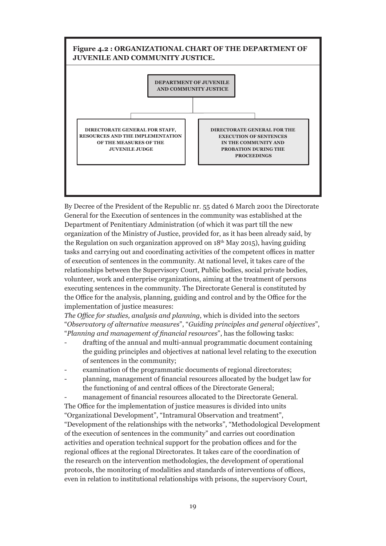

By Decree of the President of the Republic nr. 55 dated 6 March 2001 the Directorate General for the Execution of sentences in the community was established at the Department of Penitentiary Administration (of which it was part till the new organization of the Ministry of Justice, provided for, as it has been already said, by the Regulation on such organization approved on  $18<sup>th</sup>$  May 2015), having guiding tasks and carrying out and coordinating activities of the competent offices in matter of execution of sentences in the community. At national level, it takes care of the relationships between the Supervisory Court, Public bodies, social private bodies, volunteer, work and enterprise organizations, aiming at the treatment of persons executing sentences in the community. The Directorate General is constituted by the Office for the analysis, planning, guiding and control and by the Office for the implementation of justice measures:

*The Office for studies, analysis and planning,* which is divided into the sectors "*Observatory of alternative measures*", "*Guiding principles and general objectives*", "*Planning and management of financial resources*", has the following tasks:

- drafting of the annual and multi-annual programmatic document containing the guiding principles and objectives at national level relating to the execution of sentences in the community;
- examination of the programmatic documents of regional directorates;
- planning, management of financial resources allocated by the budget law for the functioning of and central offices of the Directorate General;

management of financial resources allocated to the Directorate General. The Office for the implementation of justice measures is divided into units "Organizational Development", "Intramural Observation and treatment", "Development of the relationships with the networks", "Methodological Development of the execution of sentences in the community" and carries out coordination activities and operation technical support for the probation offices and for the regional offices at the regional Directorates. It takes care of the coordination of the research on the intervention methodologies, the development of operational protocols, the monitoring of modalities and standards of interventions of offices, even in relation to institutional relationships with prisons, the supervisory Court,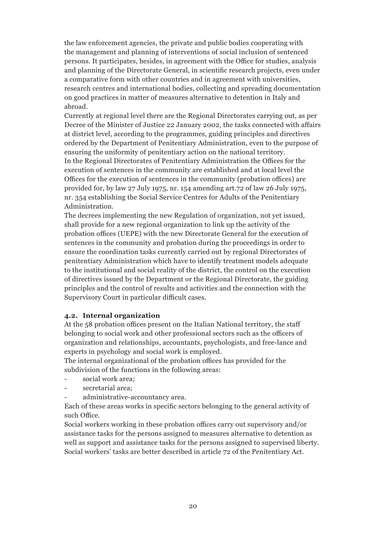the law enforcement agencies, the private and public bodies cooperating with the management and planning of interventions of social inclusion of sentenced persons. It participates, besides, in agreement with the Office for studies, analysis and planning of the Directorate General, in scientific research projects, even under a comparative form with other countries and in agreement with universities, research centres and international bodies, collecting and spreading documentation on good practices in matter of measures alternative to detention in Italy and abroad.

Currently at regional level there are the Regional Directorates carrying out, as per Decree of the Minister of Justice 22 January 2002, the tasks connected with affairs at district level, according to the programmes, guiding principles and directives ordered by the Department of Penitentiary Administration, even to the purpose of ensuring the uniformity of penitentiary action on the national territory. In the Regional Directorates of Penitentiary Administration the Offices for the

execution of sentences in the community are established and at local level the Offices for the execution of sentences in the community (probation offices) are provided for, by law 27 July 1975, nr. 154 amending art.72 of law 26 July 1975, nr. 354 establishing the Social Service Centres for Adults of the Penitentiary Administration.

The decrees implementing the new Regulation of organization, not yet issued, shall provide for a new regional organization to link up the activity of the probation offices (UEPE) with the new Directorate General for the execution of sentences in the community and probation during the proceedings in order to ensure the coordination tasks currently carried out by regional Directorates of penitentiary Administration which have to identify treatment models adequate to the institutional and social reality of the district, the control on the execution of directives issued by the Department or the Regional Directorate, the guiding principles and the control of results and activities and the connection with the Supervisory Court in particular difficult cases.

#### **4.2. Internal organization**

At the 58 probation offices present on the Italian National territory, the staff belonging to social work and other professional sectors such as the officers of organization and relationships, accountants, psychologists, and free-lance and experts in psychology and social work is employed.

The internal organizational of the probation offices has provided for the subdivision of the functions in the following areas:

- social work area:
- secretarial area:
- administrative-accountancy area.

Each of these areas works in specific sectors belonging to the general activity of such Office.

Social workers working in these probation offices carry out supervisory and/or assistance tasks for the persons assigned to measures alternative to detention as well as support and assistance tasks for the persons assigned to supervised liberty. Social workers' tasks are better described in article 72 of the Penitentiary Act.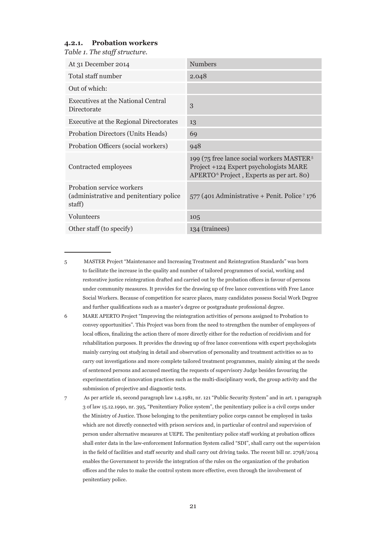#### **4.2.1. Probation workers**

*Table 1. The staff structure.*

| At 31 December 2014                                                             | <b>Numbers</b>                                                                                                                                          |
|---------------------------------------------------------------------------------|---------------------------------------------------------------------------------------------------------------------------------------------------------|
| Total staff number                                                              | 2.048                                                                                                                                                   |
| Out of which:                                                                   |                                                                                                                                                         |
| Executives at the National Central<br>Directorate                               | 3                                                                                                                                                       |
| Executive at the Regional Directorates                                          | 13                                                                                                                                                      |
| Probation Directors (Units Heads)                                               | 69                                                                                                                                                      |
| Probation Officers (social workers)                                             | 948                                                                                                                                                     |
| Contracted employees                                                            | 199 (75 free lance social workers MASTER <sup>5</sup><br>Project +124 Expert psychologists MARE<br>APERTO <sup>6</sup> Project, Experts as per art. 80) |
| Probation service workers<br>(administrative and penitentiary police)<br>staff) | $577$ (401 Administrative + Penit. Police $7176$                                                                                                        |
| Volunteers                                                                      | 105                                                                                                                                                     |
| Other staff (to specify)                                                        | 134 (trainees)                                                                                                                                          |

5 MASTER Project "Maintenance and Increasing Treatment and Reintegration Standards" was born to facilitate the increase in the quality and number of tailored programmes of social, working and restorative justice reintegration drafted and carried out by the probation offices in favour of persons under community measures. It provides for the drawing up of free lance conventions with Free Lance Social Workers. Because of competition for scarce places, many candidates possess Social Work Degree and further qualifications such as a master's degree or postgraduate professional degree.

- 6 MARE APERTO Project "Improving the reintegration activities of persons assigned to Probation to convey opportunities". This Project was born from the need to strengthen the number of employees of local offices, finalizing the action there of more directly either for the reduction of recidivism and for rehabilitation purposes. It provides the drawing up of free lance conventions with expert psychologists mainly carrying out studying in detail and observation of personality and treatment activities so as to carry out investigations and more complete tailored treatment programmes, mainly aiming at the needs of sentenced persons and accused meeting the requests of supervisory Judge besides favouring the experimentation of innovation practices such as the multi-disciplinary work, the group activity and the submission of projective and diagnostic tests.
- 7 As per article 16, second paragraph law 1.4.1981, nr. 121 "Public Security System" and in art. 1 paragraph 3 of law 15.12.1990, nr. 395, "Penitentiary Police system", the penitentiary police is a civil corps under the Ministry of Justice. Those belonging to the penitentiary police corps cannot be employed in tasks which are not directly connected with prison services and, in particular of control and supervision of person under alternative measures at UEPE. The penitentiary police staff working at probation offices shall enter data in the law-enforcement Information System called "SDI", shall carry out the supervision in the field of facilities and staff security and shall carry out driving tasks. The recent bill nr. 2798/2014 enables the Government to provide the integration of the rules on the organization of the probation offices and the rules to make the control system more effective, even through the involvement of penitentiary police.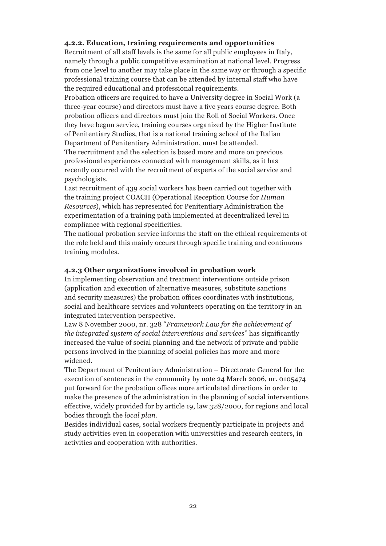#### **4.2.2. Education, training requirements and opportunities**

Recruitment of all staff levels is the same for all public employees in Italy, namely through a public competitive examination at national level. Progress from one level to another may take place in the same way or through a specific professional training course that can be attended by internal staff who have the required educational and professional requirements.

Probation officers are required to have a University degree in Social Work (a three-year course) and directors must have a five years course degree. Both probation officers and directors must join the Roll of Social Workers. Once they have begun service, training courses organized by the Higher Institute of Penitentiary Studies, that is a national training school of the Italian Department of Penitentiary Administration, must be attended.

The recruitment and the selection is based more and more on previous professional experiences connected with management skills, as it has recently occurred with the recruitment of experts of the social service and psychologists.

Last recruitment of 439 social workers has been carried out together with the training project COACH (Operational Reception Course for *Human Resources*), which has represented for Penitentiary Administration the experimentation of a training path implemented at decentralized level in compliance with regional specificities.

The national probation service informs the staff on the ethical requirements of the role held and this mainly occurs through specific training and continuous training modules.

#### **4.2.3 Other organizations involved in probation work**

In implementing observation and treatment interventions outside prison (application and execution of alternative measures, substitute sanctions and security measures) the probation offices coordinates with institutions, social and healthcare services and volunteers operating on the territory in an integrated intervention perspective.

Law 8 November 2000, nr. 328 "*Framework Law for the achievement of the integrated system of social interventions and services*" has significantly increased the value of social planning and the network of private and public persons involved in the planning of social policies has more and more widened.

The Department of Penitentiary Administration – Directorate General for the execution of sentences in the community by note 24 March 2006, nr. 0105474 put forward for the probation offices more articulated directions in order to make the presence of the administration in the planning of social interventions effective, widely provided for by article 19, law 328/2000, for regions and local bodies through the *local plan.*

Besides individual cases, social workers frequently participate in projects and study activities even in cooperation with universities and research centers, in activities and cooperation with authorities.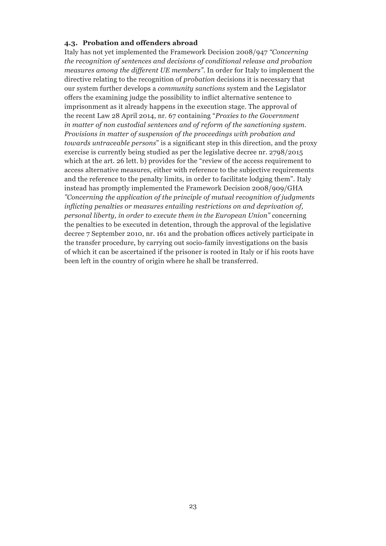#### **4.3. Probation and offenders abroad**

Italy has not yet implemented the Framework Decision 2008/947 *"Concerning the recognition of sentences and decisions of conditional release and probation measures among the different UE members"*. In order for Italy to implement the directive relating to the recognition of *probation* decisions it is necessary that our system further develops a *community sanctions* system and the Legislator offers the examining judge the possibility to inflict alternative sentence to imprisonment as it already happens in the execution stage. The approval of the recent Law 28 April 2014, nr. 67 containing "*Proxies to the Government in matter of non custodial sentences and of reform of the sanctioning system. Provisions in matter of suspension of the proceedings with probation and towards untraceable persons*" is a significant step in this direction, and the proxy exercise is currently being studied as per the legislative decree nr. 2798/2015 which at the art. 26 lett. b) provides for the "review of the access requirement to access alternative measures, either with reference to the subjective requirements and the reference to the penalty limits, in order to facilitate lodging them". Italy instead has promptly implemented the Framework Decision 2008/909/GHA *"Concerning the application of the principle of mutual recognition of judgments inflicting penalties or measures entailing restrictions on and deprivation of, personal liberty, in order to execute them in the European Union"* concerning the penalties to be executed in detention, through the approval of the legislative decree 7 September 2010, nr. 161 and the probation offices actively participate in the transfer procedure, by carrying out socio-family investigations on the basis of which it can be ascertained if the prisoner is rooted in Italy or if his roots have been left in the country of origin where he shall be transferred.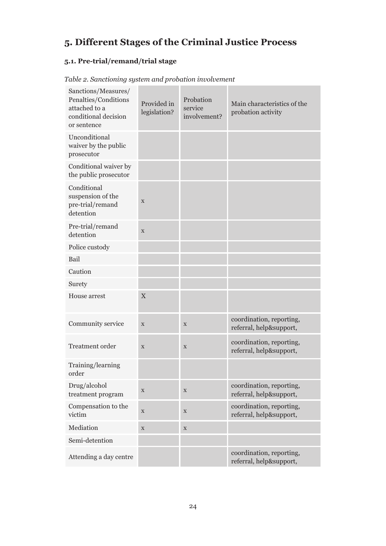## **5. Different Stages of the Criminal Justice Process**

#### **5.1. Pre-trial/remand/trial stage**

| Sanctions/Measures/<br>Penalties/Conditions<br>attached to a<br>conditional decision<br>or sentence | Provided in<br>legislation? | Probation<br>service<br>involvement? | Main characteristics of the<br>probation activity   |
|-----------------------------------------------------------------------------------------------------|-----------------------------|--------------------------------------|-----------------------------------------------------|
| Unconditional<br>waiver by the public<br>prosecutor                                                 |                             |                                      |                                                     |
| Conditional waiver by<br>the public prosecutor                                                      |                             |                                      |                                                     |
| Conditional<br>suspension of the<br>pre-trial/remand<br>detention                                   | $\mathbf X$                 |                                      |                                                     |
| Pre-trial/remand<br>detention                                                                       | $\mathbf X$                 |                                      |                                                     |
| Police custody                                                                                      |                             |                                      |                                                     |
| Bail                                                                                                |                             |                                      |                                                     |
| Caution                                                                                             |                             |                                      |                                                     |
| Surety                                                                                              |                             |                                      |                                                     |
| House arrest                                                                                        | $\mathbf X$                 |                                      |                                                     |
| Community service                                                                                   | X                           | X                                    | coordination, reporting,<br>referral, help&support, |
| Treatment order                                                                                     | $\mathbf X$                 | $\mathbf X$                          | coordination, reporting,<br>referral, help&support, |
| Training/learning<br>order                                                                          |                             |                                      |                                                     |
| Drug/alcohol<br>treatment program                                                                   | $\mathbf X$                 | X                                    | coordination, reporting,<br>referral, help&support, |
| Compensation to the<br>victim                                                                       | $\mathbf X$                 | $\mathbf X$                          | coordination, reporting,<br>referral, help&support, |
| Mediation                                                                                           | $\mathbf X$                 | $\mathbf X$                          |                                                     |
| Semi-detention                                                                                      |                             |                                      |                                                     |
| Attending a day centre                                                                              |                             |                                      | coordination, reporting,<br>referral, help&support, |

*Table 2. Sanctioning system and probation involvement*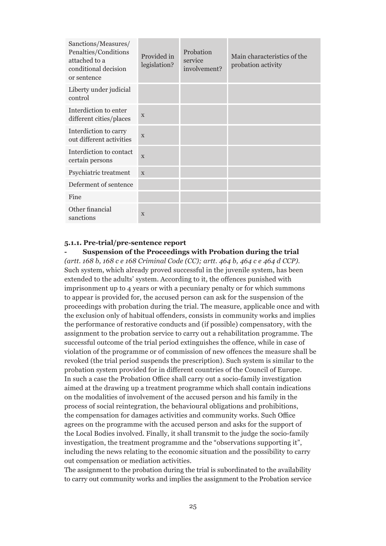| Sanctions/Measures/<br>Penalties/Conditions<br>attached to a<br>conditional decision<br>or sentence | Provided in<br>legislation? | Probation<br>service<br>involvement? | Main characteristics of the<br>probation activity |
|-----------------------------------------------------------------------------------------------------|-----------------------------|--------------------------------------|---------------------------------------------------|
| Liberty under judicial<br>control                                                                   |                             |                                      |                                                   |
| Interdiction to enter<br>different cities/places                                                    | X                           |                                      |                                                   |
| Interdiction to carry<br>out different activities                                                   | $\mathbf{x}$                |                                      |                                                   |
| Interdiction to contact<br>certain persons                                                          | $\mathbf{X}$                |                                      |                                                   |
| Psychiatric treatment                                                                               | $\mathbf{x}$                |                                      |                                                   |
| Deferment of sentence                                                                               |                             |                                      |                                                   |
| Fine                                                                                                |                             |                                      |                                                   |
| Other financial<br>sanctions                                                                        | X                           |                                      |                                                   |

#### **5.1.1. Pre-trial/pre-sentence report**

**- Suspension of the Proceedings with Probation during the trial** *(artt. 168 b, 168 c e 168 Criminal Code (CC); artt. 464 b, 464 c e 464 d CCP).* Such system, which already proved successful in the juvenile system, has been extended to the adults' system. According to it, the offences punished with imprisonment up to 4 years or with a pecuniary penalty or for which summons to appear is provided for, the accused person can ask for the suspension of the proceedings with probation during the trial. The measure, applicable once and with the exclusion only of habitual offenders, consists in community works and implies the performance of restorative conducts and (if possible) compensatory, with the assignment to the probation service to carry out a rehabilitation programme. The successful outcome of the trial period extinguishes the offence, while in case of violation of the programme or of commission of new offences the measure shall be revoked (the trial period suspends the prescription). Such system is similar to the probation system provided for in different countries of the Council of Europe. In such a case the Probation Office shall carry out a socio-family investigation aimed at the drawing up a treatment programme which shall contain indications on the modalities of involvement of the accused person and his family in the process of social reintegration, the behavioural obligations and prohibitions, the compensation for damages activities and community works. Such Office agrees on the programme with the accused person and asks for the support of the Local Bodies involved. Finally, it shall transmit to the judge the socio-family investigation, the treatment programme and the "observations supporting it", including the news relating to the economic situation and the possibility to carry out compensation or mediation activities.

The assignment to the probation during the trial is subordinated to the availability to carry out community works and implies the assignment to the Probation service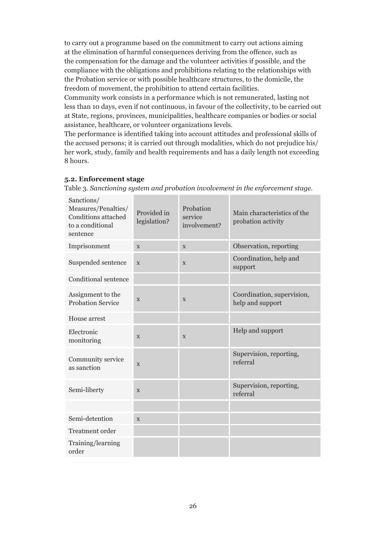to carry out a programme based on the commitment to carry out actions aiming at the elimination of harmful consequences deriving from the offence, such as the compensation for the damage and the volunteer activities if possible, and the compliance with the obligations and prohibitions relating to the relationships with the Probation service or with possible healthcare structures, to the domicile, the freedom of movement, the prohibition to attend certain facilities.

Community work consists in a performance which is not remunerated, lasting not less than 10 days, even if not continuous, in favour of the collectivity, to be carried out at State, regions, provinces, municipalities, healthcare companies or bodies or social assistance, healthcare, or volunteer organizations levels.

The performance is identified taking into account attitudes and professional skills of the accused persons; it is carried out through modalities, which do not prejudice his/ her work, study, family and health requirements and has a daily length not exceeding 8 hours.

#### **5.2. Enforcement stage**

Table 3*. Sanctioning system and probation involvement in the enforcement stage.*

| Sanctions/<br>Measures/Penalties/<br>Conditions attached<br>to a conditional<br>sentence | Provided in<br>legislation? | Probation<br>service<br>involvement? | Main characteristics of the<br>probation activity |
|------------------------------------------------------------------------------------------|-----------------------------|--------------------------------------|---------------------------------------------------|
| Imprisonment                                                                             | $\mathbf{X}$                | $\mathbf{X}$                         | Observation, reporting                            |
| Suspended sentence                                                                       | $\mathbf X$                 | X                                    | Coordination, help and<br>support                 |
| Conditional sentence                                                                     |                             |                                      |                                                   |
| Assignment to the<br><b>Probation Service</b>                                            | $\mathbf{X}$                | X                                    | Coordination, supervision,<br>help and support    |
| House arrest                                                                             |                             |                                      |                                                   |
| Electronic<br>monitoring                                                                 | $\mathbf{X}$                | $\mathbf{X}$                         | Help and support                                  |
| Community service<br>as sanction                                                         | X                           |                                      | Supervision, reporting,<br>referral               |
| Semi-liberty                                                                             | X                           |                                      | Supervision, reporting,<br>referral               |
|                                                                                          |                             |                                      |                                                   |
| Semi-detention                                                                           | X                           |                                      |                                                   |
| Treatment order                                                                          |                             |                                      |                                                   |
| Training/learning<br>order                                                               |                             |                                      |                                                   |
|                                                                                          |                             |                                      |                                                   |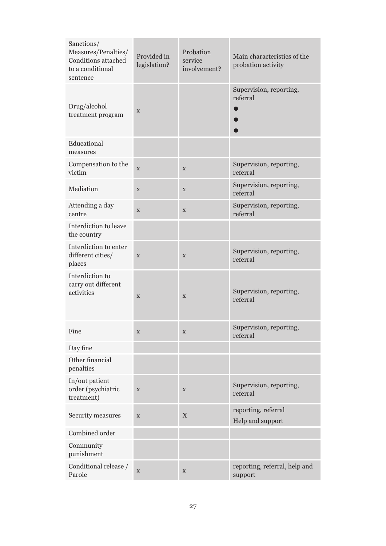| Sanctions/<br>Measures/Penalties/<br>Conditions attached<br>to a conditional<br>sentence | Provided in<br>legislation? | Probation<br>service<br>involvement? | Main characteristics of the<br>probation activity |
|------------------------------------------------------------------------------------------|-----------------------------|--------------------------------------|---------------------------------------------------|
| Drug/alcohol<br>treatment program                                                        | X                           |                                      | Supervision, reporting,<br>referral               |
| Educational<br>measures                                                                  |                             |                                      |                                                   |
| Compensation to the<br>victim                                                            | $\mathbf X$                 | $\mathbf X$                          | Supervision, reporting,<br>referral               |
| Mediation                                                                                | $\mathbf X$                 | $\mathbf X$                          | Supervision, reporting,<br>referral               |
| Attending a day<br>centre                                                                | X                           | $\mathbf X$                          | Supervision, reporting,<br>referral               |
| Interdiction to leave<br>the country                                                     |                             |                                      |                                                   |
| Interdiction to enter<br>different cities/<br>places                                     | $\mathbf X$                 | $\mathbf X$                          | Supervision, reporting,<br>referral               |
| Interdiction to<br>carry out different<br>activities                                     | $\mathbf X$                 | $\mathbf X$                          | Supervision, reporting,<br>referral               |
| Fine                                                                                     | $\mathbf X$                 | X                                    | Supervision, reporting,<br>referral               |
| Day fine                                                                                 |                             |                                      |                                                   |
| Other financial<br>penalties                                                             |                             |                                      |                                                   |
| In/out patient<br>order (psychiatric<br>treatment)                                       | $\mathbf X$                 | $\mathbf X$                          | Supervision, reporting,<br>referral               |
| Security measures                                                                        | $\mathbf X$                 | $\mathbf X$                          | reporting, referral<br>Help and support           |
| Combined order                                                                           |                             |                                      |                                                   |
| Community<br>punishment                                                                  |                             |                                      |                                                   |
| Conditional release /<br>Parole                                                          | X                           | $\mathbf X$                          | reporting, referral, help and<br>support          |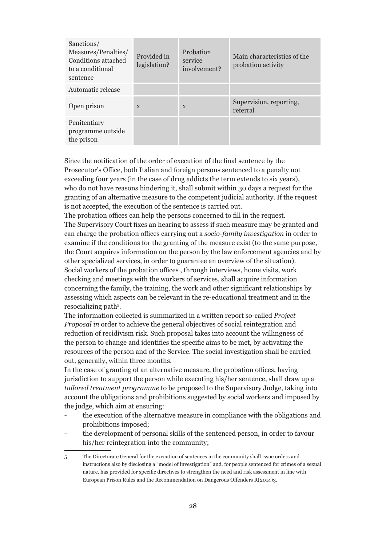| Sanctions/<br>Measures/Penalties/<br>Conditions attached<br>to a conditional<br>sentence | Provided in<br>legislation? | Probation<br>service<br>involvement? | Main characteristics of the<br>probation activity |
|------------------------------------------------------------------------------------------|-----------------------------|--------------------------------------|---------------------------------------------------|
| Automatic release                                                                        |                             |                                      |                                                   |
| Open prison                                                                              | X                           | $\boldsymbol{\mathrm{X}}$            | Supervision, reporting,<br>referral               |
| Penitentiary<br>programme outside<br>the prison                                          |                             |                                      |                                                   |

Since the notification of the order of execution of the final sentence by the Prosecutor's Office, both Italian and foreign persons sentenced to a penalty not exceeding four years (in the case of drug addicts the term extends to six years), who do not have reasons hindering it, shall submit within 30 days a request for the granting of an alternative measure to the competent judicial authority. If the request is not accepted, the execution of the sentence is carried out.

The probation offices can help the persons concerned to fill in the request. The Supervisory Court fixes an hearing to assess if such measure may be granted and can charge the probation offices carrying out a *socio-family investigation* in order to examine if the conditions for the granting of the measure exist (to the same purpose, the Court acquires information on the person by the law enforcement agencies and by other specialized services, in order to guarantee an overview of the situation). Social workers of the probation offices , through interviews, home visits, work checking and meetings with the workers of services, shall acquire information concerning the family, the training, the work and other significant relationships by assessing which aspects can be relevant in the re-educational treatment and in the resocializing path<sup>5</sup>.

The information collected is summarized in a written report so-called *Project Proposal in* order to achieve the general objectives of social reintegration and reduction of recidivism risk. Such proposal takes into account the willingness of the person to change and identifies the specific aims to be met, by activating the resources of the person and of the Service. The social investigation shall be carried out, generally, within three months.

In the case of granting of an alternative measure, the probation offices, having jurisdiction to support the person while executing his/her sentence, shall draw up a *tailored treatment programme* to be proposed to the Supervisory Judge, taking into account the obligations and prohibitions suggested by social workers and imposed by the judge, which aim at ensuring:

- the execution of the alternative measure in compliance with the obligations and prohibitions imposed;
- the development of personal skills of the sentenced person, in order to favour his/her reintegration into the community;

<sup>5</sup> The Directorate General for the execution of sentences in the community shall issue orders and instructions also by disclosing a "model of investigation" and, for people sentenced for crimes of a sexual nature, has provided for specific directives to strengthen the need and risk assessment in line with European Prison Rules and the Recommendation on Dangerous Offenders R(2014)3.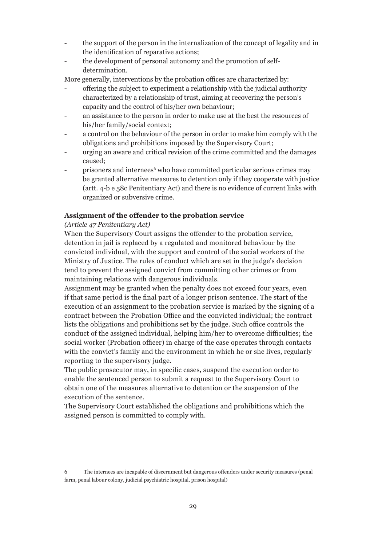- the support of the person in the internalization of the concept of legality and in the identification of reparative actions;
- the development of personal autonomy and the promotion of selfdetermination.

More generally, interventions by the probation offices are characterized by:

- offering the subject to experiment a relationship with the judicial authority characterized by a relationship of trust, aiming at recovering the person's capacity and the control of his/her own behaviour;
- an assistance to the person in order to make use at the best the resources of his/her family/social context;
- a control on the behaviour of the person in order to make him comply with the obligations and prohibitions imposed by the Supervisory Court;
- urging an aware and critical revision of the crime committed and the damages caused;
- prisoners and internees<sup>6</sup> who have committed particular serious crimes may be granted alternative measures to detention only if they cooperate with justice (artt. 4-b e 58c Penitentiary Act) and there is no evidence of current links with organized or subversive crime.

#### **Assignment of the offender to the probation service**

#### *(Article 47 Penitentiary Act)*

When the Supervisory Court assigns the offender to the probation service, detention in jail is replaced by a regulated and monitored behaviour by the convicted individual, with the support and control of the social workers of the Ministry of Justice. The rules of conduct which are set in the judge's decision tend to prevent the assigned convict from committing other crimes or from maintaining relations with dangerous individuals.

Assignment may be granted when the penalty does not exceed four years, even if that same period is the final part of a longer prison sentence. The start of the execution of an assignment to the probation service is marked by the signing of a contract between the Probation Office and the convicted individual; the contract lists the obligations and prohibitions set by the judge. Such office controls the conduct of the assigned individual, helping him/her to overcome difficulties; the social worker (Probation officer) in charge of the case operates through contacts with the convict's family and the environment in which he or she lives, regularly reporting to the supervisory judge.

The public prosecutor may, in specific cases, suspend the execution order to enable the sentenced person to submit a request to the Supervisory Court to obtain one of the measures alternative to detention or the suspension of the execution of the sentence.

The Supervisory Court established the obligations and prohibitions which the assigned person is committed to comply with.

<sup>6</sup> The internees are incapable of discernment but dangerous offenders under security measures (penal farm, penal labour colony, judicial psychiatric hospital, prison hospital)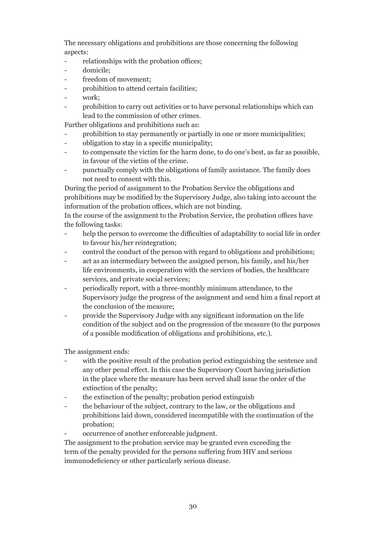The necessary obligations and prohibitions are those concerning the following aspects:

- relationships with the probation offices;
- domicile;
- freedom of movement;
- prohibition to attend certain facilities;
- work:
- prohibition to carry out activities or to have personal relationships which can lead to the commission of other crimes.

Further obligations and prohibitions such as:

- prohibition to stay permanently or partially in one or more municipalities;
- obligation to stay in a specific municipality;
- to compensate the victim for the harm done, to do one's best, as far as possible, in favour of the victim of the crime.
- punctually comply with the obligations of family assistance. The family does not need to consent with this.

During the period of assignment to the Probation Service the obligations and prohibitions may be modified by the Supervisory Judge, also taking into account the information of the probation offices, which are not binding.

In the course of the assignment to the Probation Service, the probation offices have the following tasks:

- help the person to overcome the difficulties of adaptability to social life in order to favour his/her reintegration;
- control the conduct of the person with regard to obligations and prohibitions;
- act as an intermediary between the assigned person, his family, and his/her life environments, in cooperation with the services of bodies, the healthcare services, and private social services;
- periodically report, with a three-monthly minimum attendance, to the Supervisory judge the progress of the assignment and send him a final report at the conclusion of the measure;
- provide the Supervisory Judge with any significant information on the life condition of the subject and on the progression of the measure (to the purposes of a possible modification of obligations and prohibitions, etc.).

The assignment ends:

- with the positive result of the probation period extinguishing the sentence and any other penal effect. In this case the Supervisory Court having jurisdiction in the place where the measure has been served shall issue the order of the extinction of the penalty;
- the extinction of the penalty; probation period extinguish
- the behaviour of the subject, contrary to the law, or the obligations and prohibitions laid down, considered incompatible with the continuation of the probation;
- occurrence of another enforceable judgment.

The assignment to the probation service may be granted even exceeding the term of the penalty provided for the persons suffering from HIV and serious immunodeficiency or other particularly serious disease.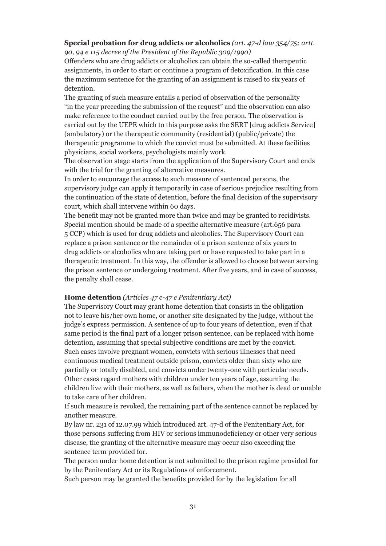### **Special probation for drug addicts or alcoholics** *(art. 47-d law 354/75; artt.*

*90, 94 e 115 decree of the President of the Republic 309/1990)*

Offenders who are drug addicts or alcoholics can obtain the so-called therapeutic assignments, in order to start or continue a program of detoxification. In this case the maximum sentence for the granting of an assignment is raised to six years of detention.

The granting of such measure entails a period of observation of the personality "in the year preceding the submission of the request" and the observation can also make reference to the conduct carried out by the free person. The observation is carried out by the UEPE which to this purpose asks the SERT [drug addicts Service] (ambulatory) or the therapeutic community (residential) (public/private) the therapeutic programme to which the convict must be submitted. At these facilities physicians, social workers, psychologists mainly work.

The observation stage starts from the application of the Supervisory Court and ends with the trial for the granting of alternative measures.

In order to encourage the access to such measure of sentenced persons, the supervisory judge can apply it temporarily in case of serious prejudice resulting from the continuation of the state of detention, before the final decision of the supervisory court, which shall intervene within 60 days.

The benefit may not be granted more than twice and may be granted to recidivists. Special mention should be made of a specific alternative measure (art.656 para 5 CCP) which is used for drug addicts and alcoholics. The Supervisory Court can replace a prison sentence or the remainder of a prison sentence of six years to drug addicts or alcoholics who are taking part or have requested to take part in a therapeutic treatment. In this way, the offender is allowed to choose between serving the prison sentence or undergoing treatment. After five years, and in case of success, the penalty shall cease.

#### **Home detention** *(Articles 47 c-47 e Penitentiary Act)*

The Supervisory Court may grant home detention that consists in the obligation not to leave his/her own home, or another site designated by the judge, without the judge's express permission. A sentence of up to four years of detention, even if that same period is the final part of a longer prison sentence, can be replaced with home detention, assuming that special subjective conditions are met by the convict. Such cases involve pregnant women, convicts with serious illnesses that need continuous medical treatment outside prison, convicts older than sixty who are partially or totally disabled, and convicts under twenty-one with particular needs. Other cases regard mothers with children under ten years of age, assuming the children live with their mothers, as well as fathers, when the mother is dead or unable to take care of her children.

If such measure is revoked, the remaining part of the sentence cannot be replaced by another measure.

By law nr. 231 of 12.07.99 which introduced art. 47-d of the Penitentiary Act, for those persons suffering from HIV or serious immunodeficiency or other very serious disease, the granting of the alternative measure may occur also exceeding the sentence term provided for.

The person under home detention is not submitted to the prison regime provided for by the Penitentiary Act or its Regulations of enforcement.

Such person may be granted the benefits provided for by the legislation for all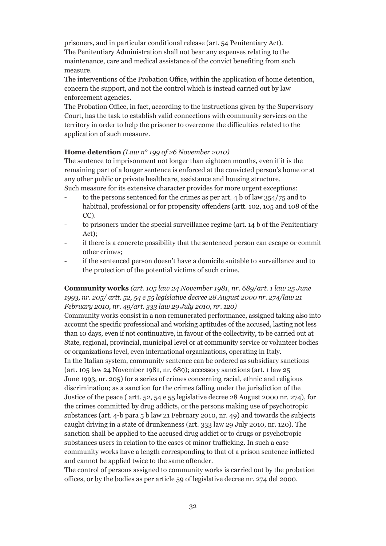prisoners, and in particular conditional release (art. 54 Penitentiary Act). The Penitentiary Administration shall not bear any expenses relating to the maintenance, care and medical assistance of the convict benefiting from such measure.

The interventions of the Probation Office, within the application of home detention, concern the support, and not the control which is instead carried out by law enforcement agencies.

The Probation Office, in fact, according to the instructions given by the Supervisory Court, has the task to establish valid connections with community services on the territory in order to help the prisoner to overcome the difficulties related to the application of such measure.

#### **Home detention** *(Law n° 199 of 26 November 2010)*

The sentence to imprisonment not longer than eighteen months, even if it is the remaining part of a longer sentence is enforced at the convicted person's home or at any other public or private healthcare, assistance and housing structure.

Such measure for its extensive character provides for more urgent exceptions:

- to the persons sentenced for the crimes as per art. 4 b of law 354/75 and to habitual, professional or for propensity offenders (artt. 102, 105 and 108 of the CC).
- to prisoners under the special surveillance regime (art. 14 b of the Penitentiary Act);
- if there is a concrete possibility that the sentenced person can escape or commit other crimes;
- if the sentenced person doesn't have a domicile suitable to surveillance and to the protection of the potential victims of such crime.

#### **Community works** *(art. 105 law 24 November 1981, nr. 689/art. 1 law 25 June 1993, nr. 205/ artt. 52, 54 e 55 legislative decree 28 August 2000 nr. 274/law 21 February 2010, nr. 49/art. 333 law 29 July 2010, nr. 120)*

Community works consist in a non remunerated performance, assigned taking also into account the specific professional and working aptitudes of the accused, lasting not less than 10 days, even if not continuative, in favour of the collectivity, to be carried out at State, regional, provincial, municipal level or at community service or volunteer bodies or organizations level, even international organizations, operating in Italy. In the Italian system, community sentence can be ordered as subsidiary sanctions (art. 105 law 24 November 1981, nr. 689); accessory sanctions (art. 1 law 25 June 1993, nr. 205) for a series of crimes concerning racial, ethnic and religious discrimination; as a sanction for the crimes falling under the jurisdiction of the Justice of the peace ( artt. 52, 54 e 55 legislative decree 28 August 2000 nr. 274), for the crimes committed by drug addicts, or the persons making use of psychotropic substances (art. 4-b para 5 b law 21 February 2010, nr. 49) and towards the subjects caught driving in a state of drunkenness (art. 333 law 29 July 2010, nr. 120). The sanction shall be applied to the accused drug addict or to drugs or psychotropic substances users in relation to the cases of minor trafficking. In such a case community works have a length corresponding to that of a prison sentence inflicted and cannot be applied twice to the same offender.

The control of persons assigned to community works is carried out by the probation offices, or by the bodies as per article 59 of legislative decree nr. 274 del 2000.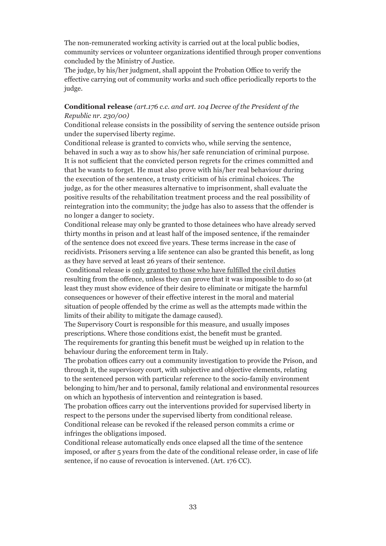The non-remunerated working activity is carried out at the local public bodies, community services or volunteer organizations identified through proper conventions concluded by the Ministry of Justice.

The judge, by his/her judgment, shall appoint the Probation Office to verify the effective carrying out of community works and such office periodically reports to the judge.

#### **Conditional release** *(art.176 c.c. and art. 104 Decree of the President of the Republic nr. 230/00)*

Conditional release consists in the possibility of serving the sentence outside prison under the supervised liberty regime.

Conditional release is granted to convicts who, while serving the sentence, behaved in such a way as to show his/her safe renunciation of criminal purpose. It is not sufficient that the convicted person regrets for the crimes committed and that he wants to forget. He must also prove with his/her real behaviour during the execution of the sentence, a trusty criticism of his criminal choices. The judge, as for the other measures alternative to imprisonment, shall evaluate the positive results of the rehabilitation treatment process and the real possibility of reintegration into the community; the judge has also to assess that the offender is no longer a danger to society.

Conditional release may only be granted to those detainees who have already served thirty months in prison and at least half of the imposed sentence, if the remainder of the sentence does not exceed five years. These terms increase in the case of recidivists. Prisoners serving a life sentence can also be granted this benefit, as long as they have served at least 26 years of their sentence.

 Conditional release is only granted to those who have fulfilled the civil duties resulting from the offence, unless they can prove that it was impossible to do so (at least they must show evidence of their desire to eliminate or mitigate the harmful consequences or however of their effective interest in the moral and material situation of people offended by the crime as well as the attempts made within the limits of their ability to mitigate the damage caused).

The Supervisory Court is responsible for this measure, and usually imposes prescriptions. Where those conditions exist, the benefit must be granted. The requirements for granting this benefit must be weighed up in relation to the behaviour during the enforcement term in Italy.

The probation offices carry out a community investigation to provide the Prison, and through it, the supervisory court, with subjective and objective elements, relating to the sentenced person with particular reference to the socio-family environment belonging to him/her and to personal, family relational and environmental resources on which an hypothesis of intervention and reintegration is based.

The probation offices carry out the interventions provided for supervised liberty in respect to the persons under the supervised liberty from conditional release. Conditional release can be revoked if the released person commits a crime or infringes the obligations imposed.

Conditional release automatically ends once elapsed all the time of the sentence imposed, or after 5 years from the date of the conditional release order, in case of life sentence, if no cause of revocation is intervened. (Art. 176 CC).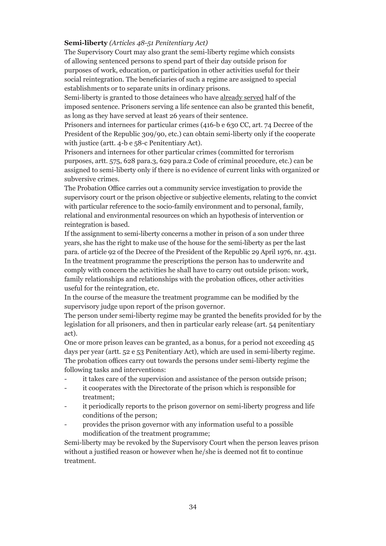#### **Semi-liberty** *(Articles 48-51 Penitentiary Act)*

The Supervisory Court may also grant the semi-liberty regime which consists of allowing sentenced persons to spend part of their day outside prison for purposes of work, education, or participation in other activities useful for their social reintegration. The beneficiaries of such a regime are assigned to special establishments or to separate units in ordinary prisons.

Semi-liberty is granted to those detainees who have already served half of the imposed sentence. Prisoners serving a life sentence can also be granted this benefit, as long as they have served at least 26 years of their sentence.

Prisoners and internees for particular crimes (416-b e 630 CC, art. 74 Decree of the President of the Republic 309/90, etc.) can obtain semi-liberty only if the cooperate with justice (artt. 4-b e 58-c Penitentiary Act).

Prisoners and internees for other particular crimes (committed for terrorism purposes, artt. 575, 628 para.3, 629 para.2 Code of criminal procedure, etc.) can be assigned to semi-liberty only if there is no evidence of current links with organized or subversive crimes.

The Probation Office carries out a community service investigation to provide the supervisory court or the prison objective or subjective elements, relating to the convict with particular reference to the socio-family environment and to personal, family, relational and environmental resources on which an hypothesis of intervention or reintegration is based.

If the assignment to semi-liberty concerns a mother in prison of a son under three years, she has the right to make use of the house for the semi-liberty as per the last para. of article 92 of the Decree of the President of the Republic 29 April 1976, nr. 431. In the treatment programme the prescriptions the person has to underwrite and comply with concern the activities he shall have to carry out outside prison: work, family relationships and relationships with the probation offices, other activities useful for the reintegration, etc.

In the course of the measure the treatment programme can be modified by the supervisory judge upon report of the prison governor.

The person under semi-liberty regime may be granted the benefits provided for by the legislation for all prisoners, and then in particular early release (art. 54 penitentiary act).

One or more prison leaves can be granted, as a bonus, for a period not exceeding 45 days per year (artt. 52 e 53 Penitentiary Act), which are used in semi-liberty regime. The probation offices carry out towards the persons under semi-liberty regime the following tasks and interventions:

- it takes care of the supervision and assistance of the person outside prison;
- it cooperates with the Directorate of the prison which is responsible for treatment;
- it periodically reports to the prison governor on semi-liberty progress and life conditions of the person;
- provides the prison governor with any information useful to a possible modification of the treatment programme;

Semi-liberty may be revoked by the Supervisory Court when the person leaves prison without a justified reason or however when he/she is deemed not fit to continue treatment.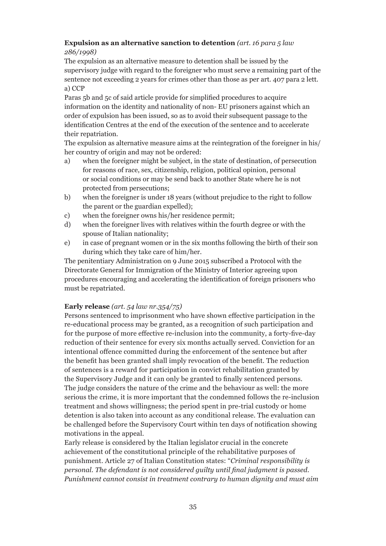#### **Expulsion as an alternative sanction to detention** *(art. 16 para 5 law 286/1998)*

The expulsion as an alternative measure to detention shall be issued by the supervisory judge with regard to the foreigner who must serve a remaining part of the sentence not exceeding 2 years for crimes other than those as per art. 407 para 2 lett. a) CCP

Paras 5b and 5c of said article provide for simplified procedures to acquire information on the identity and nationality of non- EU prisoners against which an order of expulsion has been issued, so as to avoid their subsequent passage to the identification Centres at the end of the execution of the sentence and to accelerate their repatriation.

The expulsion as alternative measure aims at the reintegration of the foreigner in his/ her country of origin and may not be ordered:

- a) when the foreigner might be subject, in the state of destination, of persecution for reasons of race, sex, citizenship, religion, political opinion, personal or social conditions or may be send back to another State where he is not protected from persecutions;
- b) when the foreigner is under 18 years (without prejudice to the right to follow the parent or the guardian expelled);
- c) when the foreigner owns his/her residence permit;
- d) when the foreigner lives with relatives within the fourth degree or with the spouse of Italian nationality;
- e) in case of pregnant women or in the six months following the birth of their son during which they take care of him/her.

The penitentiary Administration on 9 June 2015 subscribed a Protocol with the Directorate General for Immigration of the Ministry of Interior agreeing upon procedures encouraging and accelerating the identification of foreign prisoners who must be repatriated.

#### **Early release** *(art. 54 law nr.354/75)*

Persons sentenced to imprisonment who have shown effective participation in the re-educational process may be granted, as a recognition of such participation and for the purpose of more effective re-inclusion into the community, a forty-five-day reduction of their sentence for every six months actually served. Conviction for an intentional offence committed during the enforcement of the sentence but after the benefit has been granted shall imply revocation of the benefit. The reduction of sentences is a reward for participation in convict rehabilitation granted by the Supervisory Judge and it can only be granted to finally sentenced persons. The judge considers the nature of the crime and the behaviour as well: the more serious the crime, it is more important that the condemned follows the re-inclusion treatment and shows willingness; the period spent in pre-trial custody or home detention is also taken into account as any conditional release. The evaluation can be challenged before the Supervisory Court within ten days of notification showing motivations in the appeal.

Early release is considered by the Italian legislator crucial in the concrete achievement of the constitutional principle of the rehabilitative purposes of punishment. Article 27 of Italian Constitution states: "*Criminal responsibility is personal. The defendant is not considered guilty until final judgment is passed. Punishment cannot consist in treatment contrary to human dignity and must aim*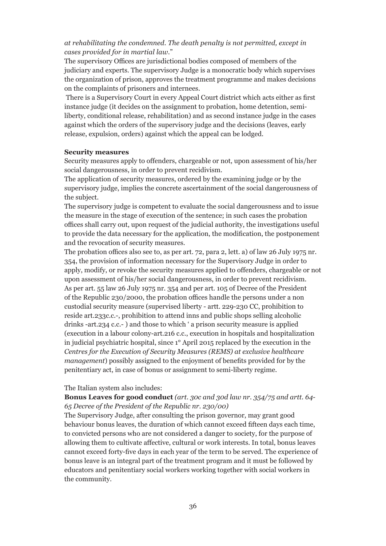#### *at rehabilitating the condemned. The death penalty is not permitted, except in cases provided for in martial law*."

The supervisory Offices are jurisdictional bodies composed of members of the judiciary and experts. The supervisory Judge is a monocratic body which supervises the organization of prison, approves the treatment programme and makes decisions on the complaints of prisoners and internees.

 There is a Supervisory Court in every Appeal Court district which acts either as first instance judge (it decides on the assignment to probation, home detention, semiliberty, conditional release, rehabilitation) and as second instance judge in the cases against which the orders of the supervisory judge and the decisions (leaves, early release, expulsion, orders) against which the appeal can be lodged.

#### **Security measures**

Security measures apply to offenders, chargeable or not, upon assessment of his/her social dangerousness, in order to prevent recidivism.

The application of security measures, ordered by the examining judge or by the supervisory judge, implies the concrete ascertainment of the social dangerousness of the subject.

The supervisory judge is competent to evaluate the social dangerousness and to issue the measure in the stage of execution of the sentence; in such cases the probation offices shall carry out, upon request of the judicial authority, the investigations useful to provide the data necessary for the application, the modification, the postponement and the revocation of security measures.

The probation offices also see to, as per art. 72, para 2, lett. a) of law 26 July 1975 nr. 354, the provision of information necessary for the Supervisory Judge in order to apply, modify, or revoke the security measures applied to offenders, chargeable or not upon assessment of his/her social dangerousness, in order to prevent recidivism. As per art. 55 law 26 July 1975 nr. 354 and per art. 105 of Decree of the President of the Republic 230/2000, the probation offices handle the persons under a non custodial security measure (supervised liberty - artt. 229-230 CC, prohibition to reside art.233c.c.-, prohibition to attend inns and public shops selling alcoholic drinks -art.234 c.c.- ) and those to which ' a prison security measure is applied (execution in a labour colony-art.216 c.c., execution in hospitals and hospitalization in judicial psychiatric hospital, since 1° April 2015 replaced by the execution in the *Centres for the Execution of Security Measures (REMS) at exclusive healthcare management*) possibly assigned to the enjoyment of benefits provided for by the penitentiary act, in case of bonus or assignment to semi-liberty regime.

#### The Italian system also includes:

#### **Bonus Leaves for good conduct** *(art. 30c and 30d law nr. 354/75 and artt. 64- 65 Decree of the President of the Republic nr. 230/00)*

The Supervisory Judge, after consulting the prison governor, may grant good behaviour bonus leaves, the duration of which cannot exceed fifteen days each time, to convicted persons who are not considered a danger to society, for the purpose of allowing them to cultivate affective, cultural or work interests. In total, bonus leaves cannot exceed forty-five days in each year of the term to be served. The experience of bonus leave is an integral part of the treatment program and it must be followed by educators and penitentiary social workers working together with social workers in the community.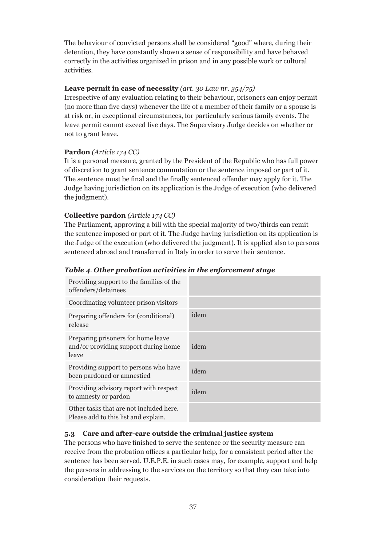The behaviour of convicted persons shall be considered "good" where, during their detention, they have constantly shown a sense of responsibility and have behaved correctly in the activities organized in prison and in any possible work or cultural activities.

#### **Leave permit in case of necessity** *(art. 30 Law nr. 354/75)*

Irrespective of any evaluation relating to their behaviour, prisoners can enjoy permit (no more than five days) whenever the life of a member of their family or a spouse is at risk or, in exceptional circumstances, for particularly serious family events. The leave permit cannot exceed five days. The Supervisory Judge decides on whether or not to grant leave.

#### **Pardon** *(Article 174 CC)*

It is a personal measure, granted by the President of the Republic who has full power of discretion to grant sentence commutation or the sentence imposed or part of it. The sentence must be final and the finally sentenced offender may apply for it. The Judge having jurisdiction on its application is the Judge of execution (who delivered the judgment).

#### **Collective pardon** *(Article 174 CC)*

The Parliament, approving a bill with the special majority of two/thirds can remit the sentence imposed or part of it. The Judge having jurisdiction on its application is the Judge of the execution (who delivered the judgment). It is applied also to persons sentenced abroad and transferred in Italy in order to serve their sentence.

#### Providing support to the families of the offenders/detainees Coordinating volunteer prison visitors Preparing offenders for (conditional) release idem Preparing prisoners for home leave and/or providing support during home leave idem Providing support to persons who have been pardoned or amnestied idem Providing advisory report with respect to amnesty or pardon idem Other tasks that are not included here. Please add to this list and explain.

#### *Table 4. Other probation activities in the enforcement stage*

#### **5.3 Care and after-care outside the criminal justice system**

The persons who have finished to serve the sentence or the security measure can receive from the probation offices a particular help, for a consistent period after the sentence has been served. U.E.P.E. in such cases may, for example, support and help the persons in addressing to the services on the territory so that they can take into consideration their requests.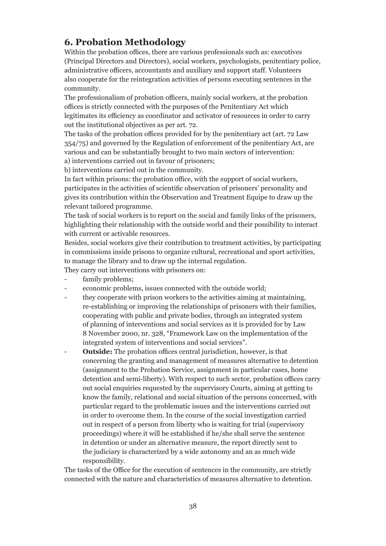## **6. Probation Methodology**

Within the probation offices, there are various professionals such as: executives (Principal Directors and Directors), social workers, psychologists, penitentiary police, administrative officers, accountants and auxiliary and support staff. Volunteers also cooperate for the reintegration activities of persons executing sentences in the community.

The professionalism of probation officers, mainly social workers, at the probation offices is strictly connected with the purposes of the Penitentiary Act which legitimates its efficiency as coordinator and activator of resources in order to carry out the institutional objectives as per art. 72.

The tasks of the probation offices provided for by the penitentiary act (art. 72 Law 354/75) and governed by the Regulation of enforcement of the penitentiary Act, are various and can be substantially brought to two main sectors of intervention:

a) interventions carried out in favour of prisoners;

b) interventions carried out in the community.

In fact within prisons: the probation office, with the support of social workers, participates in the activities of scientific observation of prisoners' personality and gives its contribution within the Observation and Treatment Equipe to draw up the relevant tailored programme.

The task of social workers is to report on the social and family links of the prisoners, highlighting their relationship with the outside world and their possibility to interact with current or activable resources.

Besides, social workers give their contribution to treatment activities, by participating in commissions inside prisons to organize cultural, recreational and sport activities, to manage the library and to draw up the internal regulation.

They carry out interventions with prisoners on:

- family problems;
- economic problems, issues connected with the outside world;
- they cooperate with prison workers to the activities aiming at maintaining, re-establishing or improving the relationships of prisoners with their families, cooperating with public and private bodies, through an integrated system of planning of interventions and social services as it is provided for by Law 8 November 2000, nr. 328, "Framework Law on the implementation of the integrated system of interventions and social services".
- **Outside:** The probation offices central jurisdiction, however, is that concerning the granting and management of measures alternative to detention (assignment to the Probation Service, assignment in particular cases, home detention and semi-liberty). With respect to such sector, probation offices carry out social enquiries requested by the supervisory Courts, aiming at getting to know the family, relational and social situation of the persons concerned, with particular regard to the problematic issues and the interventions carried out in order to overcome them. In the course of the social investigation carried out in respect of a person from liberty who is waiting for trial (supervisory proceedings) where it will be established if he/she shall serve the sentence in detention or under an alternative measure, the report directly sent to the judiciary is characterized by a wide autonomy and an as much wide responsibility.

The tasks of the Office for the execution of sentences in the community, are strictly connected with the nature and characteristics of measures alternative to detention.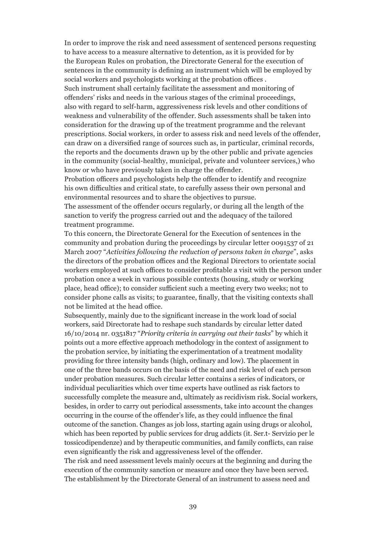In order to improve the risk and need assessment of sentenced persons requesting to have access to a measure alternative to detention, as it is provided for by the European Rules on probation, the Directorate General for the execution of sentences in the community is defining an instrument which will be employed by social workers and psychologists working at the probation offices .

Such instrument shall certainly facilitate the assessment and monitoring of offenders' risks and needs in the various stages of the criminal proceedings, also with regard to self-harm, aggressiveness risk levels and other conditions of weakness and vulnerability of the offender. Such assessments shall be taken into consideration for the drawing up of the treatment programme and the relevant prescriptions. Social workers, in order to assess risk and need levels of the offender, can draw on a diversified range of sources such as, in particular, criminal records, the reports and the documents drawn up by the other public and private agencies in the community (social-healthy, municipal, private and volunteer services,) who know or who have previously taken in charge the offender.

Probation officers and psychologists help the offender to identify and recognize his own difficulties and critical state, to carefully assess their own personal and environmental resources and to share the objectives to pursue.

The assessment of the offender occurs regularly, or during all the length of the sanction to verify the progress carried out and the adequacy of the tailored treatment programme.

To this concern, the Directorate General for the Execution of sentences in the community and probation during the proceedings by circular letter 0091537 of 21 March 2007 "*Activities following the reduction of persons taken in charge*", asks the directors of the probation offices and the Regional Directors to orientate social workers employed at such offices to consider profitable a visit with the person under probation once a week in various possible contexts (housing, study or working place, head office); to consider sufficient such a meeting every two weeks; not to consider phone calls as visits; to guarantee, finally, that the visiting contexts shall not be limited at the head office.

Subsequently, mainly due to the significant increase in the work load of social workers, said Directorate had to reshape such standards by circular letter dated 16/10/2014 nr. 0351817 "*Priority criteria in carrying out their tasks*" by which it points out a more effective approach methodology in the context of assignment to the probation service, by initiating the experimentation of a treatment modality providing for three intensity bands (high, ordinary and low). The placement in one of the three bands occurs on the basis of the need and risk level of each person under probation measures. Such circular letter contains a series of indicators, or individual peculiarities which over time experts have outlined as risk factors to successfully complete the measure and, ultimately as recidivism risk. Social workers, besides, in order to carry out periodical assessments, take into account the changes occurring in the course of the offender's life, as they could influence the final outcome of the sanction. Changes as job loss, starting again using drugs or alcohol, which has been reported by public services for drug addicts (it. Ser.t- Servizio per le tossicodipendenze) and by therapeutic communities, and family conflicts, can raise even significantly the risk and aggressiveness level of the offender.

The risk and need assessment levels mainly occurs at the beginning and during the execution of the community sanction or measure and once they have been served. The establishment by the Directorate General of an instrument to assess need and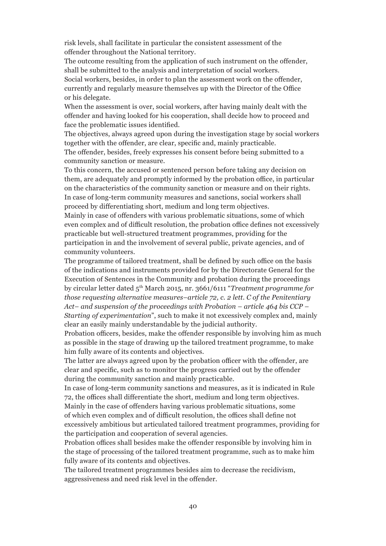risk levels, shall facilitate in particular the consistent assessment of the offender throughout the National territory.

The outcome resulting from the application of such instrument on the offender, shall be submitted to the analysis and interpretation of social workers.

Social workers, besides, in order to plan the assessment work on the offender, currently and regularly measure themselves up with the Director of the Office or his delegate.

When the assessment is over, social workers, after having mainly dealt with the offender and having looked for his cooperation, shall decide how to proceed and face the problematic issues identified.

The objectives, always agreed upon during the investigation stage by social workers together with the offender, are clear, specific and, mainly practicable.

The offender, besides, freely expresses his consent before being submitted to a community sanction or measure.

To this concern, the accused or sentenced person before taking any decision on them, are adequately and promptly informed by the probation office, in particular on the characteristics of the community sanction or measure and on their rights. In case of long-term community measures and sanctions, social workers shall proceed by differentiating short, medium and long term objectives.

Mainly in case of offenders with various problematic situations, some of which even complex and of difficult resolution, the probation office defines not excessively practicable but well-structured treatment programmes, providing for the participation in and the involvement of several public, private agencies, and of community volunteers.

The programme of tailored treatment, shall be defined by such office on the basis of the indications and instruments provided for by the Directorate General for the Execution of Sentences in the Community and probation during the proceedings by circular letter dated 5th March 2015, nr. 3661/6111 "*Treatment programme for those requesting alternative measures–article 72, c. 2 lett. C of the Penitentiary Act– and suspension of the proceedings with Probation – article 464 bis CCP – Starting of experimentation*", such to make it not excessively complex and, mainly clear an easily mainly understandable by the judicial authority.

Probation officers, besides, make the offender responsible by involving him as much as possible in the stage of drawing up the tailored treatment programme, to make him fully aware of its contents and objectives.

The latter are always agreed upon by the probation officer with the offender, are clear and specific, such as to monitor the progress carried out by the offender during the community sanction and mainly practicable.

In case of long-term community sanctions and measures, as it is indicated in Rule 72, the offices shall differentiate the short, medium and long term objectives. Mainly in the case of offenders having various problematic situations, some of which even complex and of difficult resolution, the offices shall define not excessively ambitious but articulated tailored treatment programmes, providing for the participation and cooperation of several agencies.

Probation offices shall besides make the offender responsible by involving him in the stage of processing of the tailored treatment programme, such as to make him fully aware of its contents and objectives.

The tailored treatment programmes besides aim to decrease the recidivism, aggressiveness and need risk level in the offender.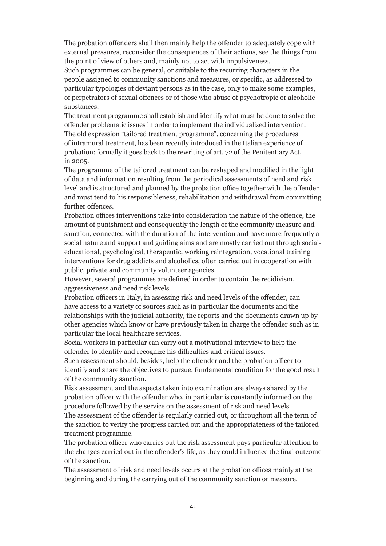The probation offenders shall then mainly help the offender to adequately cope with external pressures, reconsider the consequences of their actions, see the things from the point of view of others and, mainly not to act with impulsiveness.

Such programmes can be general, or suitable to the recurring characters in the people assigned to community sanctions and measures, or specific, as addressed to particular typologies of deviant persons as in the case, only to make some examples, of perpetrators of sexual offences or of those who abuse of psychotropic or alcoholic substances.

The treatment programme shall establish and identify what must be done to solve the offender problematic issues in order to implement the individualized intervention. The old expression "tailored treatment programme", concerning the procedures of intramural treatment, has been recently introduced in the Italian experience of probation: formally it goes back to the rewriting of art. 72 of the Penitentiary Act, in 2005.

The programme of the tailored treatment can be reshaped and modified in the light of data and information resulting from the periodical assessments of need and risk level and is structured and planned by the probation office together with the offender and must tend to his responsibleness, rehabilitation and withdrawal from committing further offences.

Probation offices interventions take into consideration the nature of the offence, the amount of punishment and consequently the length of the community measure and sanction, connected with the duration of the intervention and have more frequently a social nature and support and guiding aims and are mostly carried out through socialeducational, psychological, therapeutic, working reintegration, vocational training interventions for drug addicts and alcoholics, often carried out in cooperation with public, private and community volunteer agencies.

However, several programmes are defined in order to contain the recidivism, aggressiveness and need risk levels.

Probation officers in Italy, in assessing risk and need levels of the offender, can have access to a variety of sources such as in particular the documents and the relationships with the judicial authority, the reports and the documents drawn up by other agencies which know or have previously taken in charge the offender such as in particular the local healthcare services.

Social workers in particular can carry out a motivational interview to help the offender to identify and recognize his difficulties and critical issues.

Such assessment should, besides, help the offender and the probation officer to identify and share the objectives to pursue, fundamental condition for the good result of the community sanction.

Risk assessment and the aspects taken into examination are always shared by the probation officer with the offender who, in particular is constantly informed on the procedure followed by the service on the assessment of risk and need levels.

The assessment of the offender is regularly carried out, or throughout all the term of the sanction to verify the progress carried out and the appropriateness of the tailored treatment programme.

The probation officer who carries out the risk assessment pays particular attention to the changes carried out in the offender's life, as they could influence the final outcome of the sanction.

The assessment of risk and need levels occurs at the probation offices mainly at the beginning and during the carrying out of the community sanction or measure.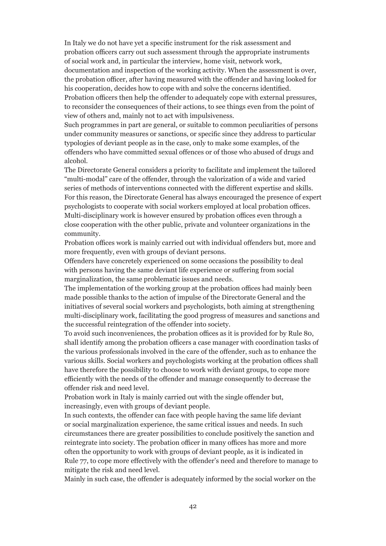In Italy we do not have yet a specific instrument for the risk assessment and probation officers carry out such assessment through the appropriate instruments of social work and, in particular the interview, home visit, network work, documentation and inspection of the working activity. When the assessment is over, the probation officer, after having measured with the offender and having looked for his cooperation, decides how to cope with and solve the concerns identified. Probation officers then help the offender to adequately cope with external pressures, to reconsider the consequences of their actions, to see things even from the point of

view of others and, mainly not to act with impulsiveness. Such programmes in part are general, or suitable to common peculiarities of persons

under community measures or sanctions, or specific since they address to particular typologies of deviant people as in the case, only to make some examples, of the offenders who have committed sexual offences or of those who abused of drugs and alcohol.

The Directorate General considers a priority to facilitate and implement the tailored "multi-modal" care of the offender, through the valorization of a wide and varied series of methods of interventions connected with the different expertise and skills. For this reason, the Directorate General has always encouraged the presence of expert psychologists to cooperate with social workers employed at local probation offices. Multi-disciplinary work is however ensured by probation offices even through a close cooperation with the other public, private and volunteer organizations in the community.

Probation offices work is mainly carried out with individual offenders but, more and more frequently, even with groups of deviant persons.

Offenders have concretely experienced on some occasions the possibility to deal with persons having the same deviant life experience or suffering from social marginalization, the same problematic issues and needs.

The implementation of the working group at the probation offices had mainly been made possible thanks to the action of impulse of the Directorate General and the initiatives of several social workers and psychologists, both aiming at strengthening multi-disciplinary work, facilitating the good progress of measures and sanctions and the successful reintegration of the offender into society.

To avoid such inconveniences, the probation offices as it is provided for by Rule 80, shall identify among the probation officers a case manager with coordination tasks of the various professionals involved in the care of the offender, such as to enhance the various skills. Social workers and psychologists working at the probation offices shall have therefore the possibility to choose to work with deviant groups, to cope more efficiently with the needs of the offender and manage consequently to decrease the offender risk and need level.

Probation work in Italy is mainly carried out with the single offender but, increasingly, even with groups of deviant people.

In such contexts, the offender can face with people having the same life deviant or social marginalization experience, the same critical issues and needs. In such circumstances there are greater possibilities to conclude positively the sanction and reintegrate into society. The probation officer in many offices has more and more often the opportunity to work with groups of deviant people, as it is indicated in Rule 77, to cope more effectively with the offender's need and therefore to manage to mitigate the risk and need level.

Mainly in such case, the offender is adequately informed by the social worker on the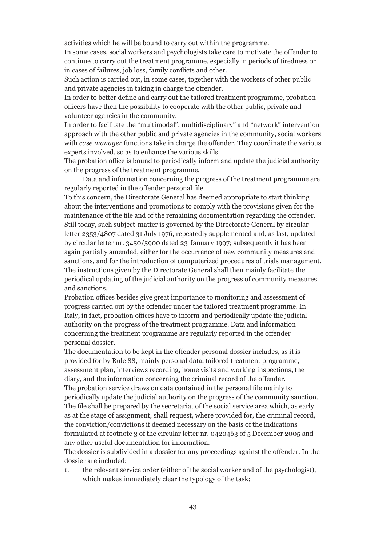activities which he will be bound to carry out within the programme.

In some cases, social workers and psychologists take care to motivate the offender to continue to carry out the treatment programme, especially in periods of tiredness or in cases of failures, job loss, family conflicts and other.

Such action is carried out, in some cases, together with the workers of other public and private agencies in taking in charge the offender.

In order to better define and carry out the tailored treatment programme, probation officers have then the possibility to cooperate with the other public, private and volunteer agencies in the community.

In order to facilitate the "multimodal", multidisciplinary" and "network" intervention approach with the other public and private agencies in the community, social workers with *case manager* functions take in charge the offender. They coordinate the various experts involved, so as to enhance the various skills.

The probation office is bound to periodically inform and update the judicial authority on the progress of the treatment programme.

Data and information concerning the progress of the treatment programme are regularly reported in the offender personal file.

To this concern, the Directorate General has deemed appropriate to start thinking about the interventions and promotions to comply with the provisions given for the maintenance of the file and of the remaining documentation regarding the offender. Still today, such subject-matter is governed by the Directorate General by circular letter 2353/4807 dated 31 July 1976, repeatedly supplemented and, as last, updated by circular letter nr. 3450/5900 dated 23 January 1997; subsequently it has been again partially amended, either for the occurrence of new community measures and sanctions, and for the introduction of computerized procedures of trials management. The instructions given by the Directorate General shall then mainly facilitate the periodical updating of the judicial authority on the progress of community measures and sanctions.

Probation offices besides give great importance to monitoring and assessment of progress carried out by the offender under the tailored treatment programme. In Italy, in fact, probation offices have to inform and periodically update the judicial authority on the progress of the treatment programme. Data and information concerning the treatment programme are regularly reported in the offender personal dossier.

The documentation to be kept in the offender personal dossier includes, as it is provided for by Rule 88, mainly personal data, tailored treatment programme, assessment plan, interviews recording, home visits and working inspections, the diary, and the information concerning the criminal record of the offender. The probation service draws on data contained in the personal file mainly to periodically update the judicial authority on the progress of the community sanction. The file shall be prepared by the secretariat of the social service area which, as early as at the stage of assignment, shall request, where provided for, the criminal record, the conviction/convictions if deemed necessary on the basis of the indications formulated at footnote 3 of the circular letter nr. 0420463 of 5 December 2005 and any other useful documentation for information.

The dossier is subdivided in a dossier for any proceedings against the offender. In the dossier are included:

1. the relevant service order (either of the social worker and of the psychologist), which makes immediately clear the typology of the task;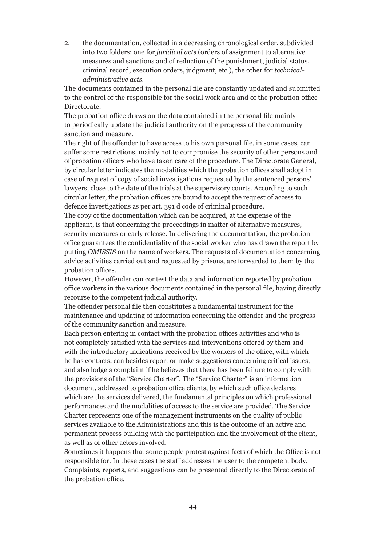2. the documentation, collected in a decreasing chronological order, subdivided into two folders: one for *juridical acts* (orders of assignment to alternative measures and sanctions and of reduction of the punishment, judicial status, criminal record, execution orders, judgment, etc.), the other for *technicaladministrative acts*.

The documents contained in the personal file are constantly updated and submitted to the control of the responsible for the social work area and of the probation office Directorate.

The probation office draws on the data contained in the personal file mainly to periodically update the judicial authority on the progress of the community sanction and measure.

The right of the offender to have access to his own personal file, in some cases, can suffer some restrictions, mainly not to compromise the security of other persons and of probation officers who have taken care of the procedure. The Directorate General, by circular letter indicates the modalities which the probation offices shall adopt in case of request of copy of social investigations requested by the sentenced persons' lawyers, close to the date of the trials at the supervisory courts. According to such circular letter, the probation offices are bound to accept the request of access to defence investigations as per art. 391 d code of criminal procedure.

The copy of the documentation which can be acquired, at the expense of the applicant, is that concerning the proceedings in matter of alternative measures, security measures or early release. In delivering the documentation, the probation office guarantees the confidentiality of the social worker who has drawn the report by putting *OMISSIS* on the name of workers. The requests of documentation concerning advice activities carried out and requested by prisons, are forwarded to them by the probation offices.

However, the offender can contest the data and information reported by probation office workers in the various documents contained in the personal file, having directly recourse to the competent judicial authority.

The offender personal file then constitutes a fundamental instrument for the maintenance and updating of information concerning the offender and the progress of the community sanction and measure.

Each person entering in contact with the probation offices activities and who is not completely satisfied with the services and interventions offered by them and with the introductory indications received by the workers of the office, with which he has contacts, can besides report or make suggestions concerning critical issues, and also lodge a complaint if he believes that there has been failure to comply with the provisions of the "Service Charter". The "Service Charter" is an information document, addressed to probation office clients, by which such office declares which are the services delivered, the fundamental principles on which professional performances and the modalities of access to the service are provided. The Service Charter represents one of the management instruments on the quality of public services available to the Administrations and this is the outcome of an active and permanent process building with the participation and the involvement of the client, as well as of other actors involved.

Sometimes it happens that some people protest against facts of which the Office is not responsible for. In these cases the staff addresses the user to the competent body. Complaints, reports, and suggestions can be presented directly to the Directorate of the probation office.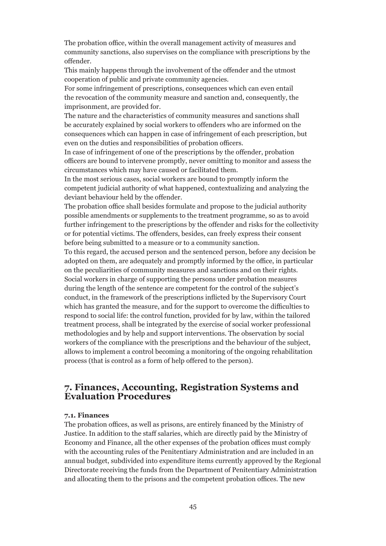The probation office, within the overall management activity of measures and community sanctions, also supervises on the compliance with prescriptions by the offender.

This mainly happens through the involvement of the offender and the utmost cooperation of public and private community agencies.

For some infringement of prescriptions, consequences which can even entail the revocation of the community measure and sanction and, consequently, the imprisonment, are provided for.

The nature and the characteristics of community measures and sanctions shall be accurately explained by social workers to offenders who are informed on the consequences which can happen in case of infringement of each prescription, but even on the duties and responsibilities of probation officers.

In case of infringement of one of the prescriptions by the offender, probation officers are bound to intervene promptly, never omitting to monitor and assess the circumstances which may have caused or facilitated them.

In the most serious cases, social workers are bound to promptly inform the competent judicial authority of what happened, contextualizing and analyzing the deviant behaviour held by the offender.

The probation office shall besides formulate and propose to the judicial authority possible amendments or supplements to the treatment programme, so as to avoid further infringement to the prescriptions by the offender and risks for the collectivity or for potential victims. The offenders, besides, can freely express their consent before being submitted to a measure or to a community sanction.

To this regard, the accused person and the sentenced person, before any decision be adopted on them, are adequately and promptly informed by the office, in particular on the peculiarities of community measures and sanctions and on their rights.

Social workers in charge of supporting the persons under probation measures during the length of the sentence are competent for the control of the subject's conduct, in the framework of the prescriptions inflicted by the Supervisory Court which has granted the measure, and for the support to overcome the difficulties to respond to social life: the control function, provided for by law, within the tailored treatment process, shall be integrated by the exercise of social worker professional methodologies and by help and support interventions. The observation by social workers of the compliance with the prescriptions and the behaviour of the subject, allows to implement a control becoming a monitoring of the ongoing rehabilitation process (that is control as a form of help offered to the person).

#### **7. Finances, Accounting, Registration Systems and Evaluation Procedures**

#### **7.1. Finances**

The probation offices, as well as prisons, are entirely financed by the Ministry of Justice. In addition to the staff salaries, which are directly paid by the Ministry of Economy and Finance, all the other expenses of the probation offices must comply with the accounting rules of the Penitentiary Administration and are included in an annual budget, subdivided into expenditure items currently approved by the Regional Directorate receiving the funds from the Department of Penitentiary Administration and allocating them to the prisons and the competent probation offices. The new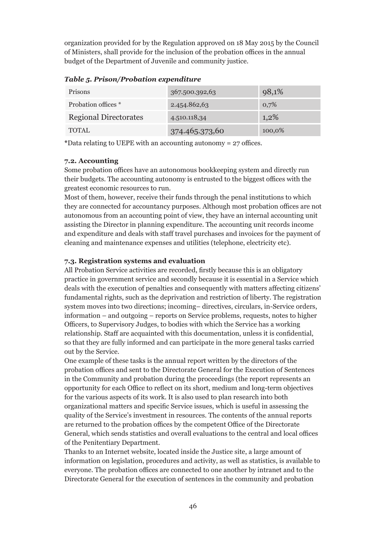organization provided for by the Regulation approved on 18 May 2015 by the Council of Ministers, shall provide for the inclusion of the probation offices in the annual budget of the Department of Juvenile and community justice.

| <b>Prisons</b>               | 367.500.392,63 | 98,1%   |
|------------------------------|----------------|---------|
| Probation offices *          | 2.454.862,63   | 0,7%    |
| <b>Regional Directorates</b> | 4.510.118,34   | $1,2\%$ |
| <b>TOTAL</b>                 | 374.465.373,60 | 100,0%  |

*Table 5. Prison/Probation expenditure*

**\***Data relating to UEPE with an accounting autonomy = 27 offices.

#### **7.2. Accounting**

Some probation offices have an autonomous bookkeeping system and directly run their budgets. The accounting autonomy is entrusted to the biggest offices with the greatest economic resources to run.

Most of them, however, receive their funds through the penal institutions to which they are connected for accountancy purposes. Although most probation offices are not autonomous from an accounting point of view, they have an internal accounting unit assisting the Director in planning expenditure. The accounting unit records income and expenditure and deals with staff travel purchases and invoices for the payment of cleaning and maintenance expenses and utilities (telephone, electricity etc).

#### **7.3. Registration systems and evaluation**

All Probation Service activities are recorded, firstly because this is an obligatory practice in government service and secondly because it is essential in a Service which deals with the execution of penalties and consequently with matters affecting citizens' fundamental rights, such as the deprivation and restriction of liberty. The registration system moves into two directions; incoming– directives, circulars, in-Service orders, information – and outgoing – reports on Service problems, requests, notes to higher Officers, to Supervisory Judges, to bodies with which the Service has a working relationship. Staff are acquainted with this documentation, unless it is confidential, so that they are fully informed and can participate in the more general tasks carried out by the Service.

One example of these tasks is the annual report written by the directors of the probation offices and sent to the Directorate General for the Execution of Sentences in the Community and probation during the proceedings (the report represents an opportunity for each Office to reflect on its short, medium and long-term objectives for the various aspects of its work. It is also used to plan research into both organizational matters and specific Service issues, which is useful in assessing the quality of the Service's investment in resources. The contents of the annual reports are returned to the probation offices by the competent Office of the Directorate General, which sends statistics and overall evaluations to the central and local offices of the Penitentiary Department.

Thanks to an Internet website, located inside the Justice site, a large amount of information on legislation, procedures and activity, as well as statistics, is available to everyone. The probation offices are connected to one another by intranet and to the Directorate General for the execution of sentences in the community and probation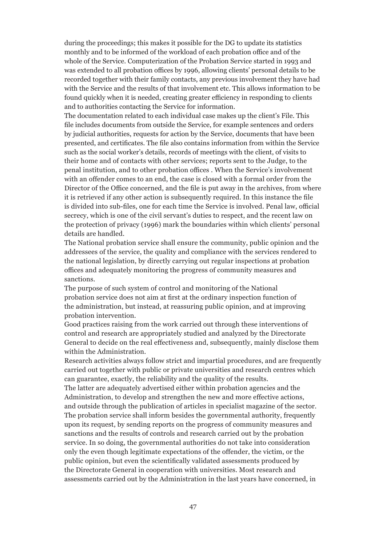during the proceedings; this makes it possible for the DG to update its statistics monthly and to be informed of the workload of each probation office and of the whole of the Service. Computerization of the Probation Service started in 1993 and was extended to all probation offices by 1996, allowing clients' personal details to be recorded together with their family contacts, any previous involvement they have had with the Service and the results of that involvement etc. This allows information to be found quickly when it is needed, creating greater efficiency in responding to clients and to authorities contacting the Service for information.

The documentation related to each individual case makes up the client's File. This file includes documents from outside the Service, for example sentences and orders by judicial authorities, requests for action by the Service, documents that have been presented, and certificates. The file also contains information from within the Service such as the social worker's details, records of meetings with the client, of visits to their home and of contacts with other services; reports sent to the Judge, to the penal institution, and to other probation offices . When the Service's involvement with an offender comes to an end, the case is closed with a formal order from the Director of the Office concerned, and the file is put away in the archives, from where it is retrieved if any other action is subsequently required. In this instance the file is divided into sub-files, one for each time the Service is involved. Penal law, official secrecy, which is one of the civil servant's duties to respect, and the recent law on the protection of privacy (1996) mark the boundaries within which clients' personal details are handled.

The National probation service shall ensure the community, public opinion and the addressees of the service, the quality and compliance with the services rendered to the national legislation, by directly carrying out regular inspections at probation offices and adequately monitoring the progress of community measures and sanctions.

The purpose of such system of control and monitoring of the National probation service does not aim at first at the ordinary inspection function of the administration, but instead, at reassuring public opinion, and at improving probation intervention.

Good practices raising from the work carried out through these interventions of control and research are appropriately studied and analyzed by the Directorate General to decide on the real effectiveness and, subsequently, mainly disclose them within the Administration.

Research activities always follow strict and impartial procedures, and are frequently carried out together with public or private universities and research centres which can guarantee, exactly, the reliability and the quality of the results.

The latter are adequately advertised either within probation agencies and the Administration, to develop and strengthen the new and more effective actions, and outside through the publication of articles in specialist magazine of the sector. The probation service shall inform besides the governmental authority, frequently upon its request, by sending reports on the progress of community measures and sanctions and the results of controls and research carried out by the probation service. In so doing, the governmental authorities do not take into consideration only the even though legitimate expectations of the offender, the victim, or the public opinion, but even the scientifically validated assessments produced by the Directorate General in cooperation with universities. Most research and assessments carried out by the Administration in the last years have concerned, in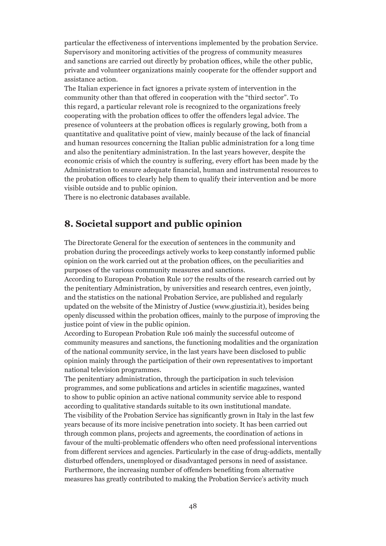particular the effectiveness of interventions implemented by the probation Service. Supervisory and monitoring activities of the progress of community measures and sanctions are carried out directly by probation offices, while the other public, private and volunteer organizations mainly cooperate for the offender support and assistance action.

The Italian experience in fact ignores a private system of intervention in the community other than that offered in cooperation with the "third sector". To this regard, a particular relevant role is recognized to the organizations freely cooperating with the probation offices to offer the offenders legal advice. The presence of volunteers at the probation offices is regularly growing, both from a quantitative and qualitative point of view, mainly because of the lack of financial and human resources concerning the Italian public administration for a long time and also the penitentiary administration. In the last years however, despite the economic crisis of which the country is suffering, every effort has been made by the Administration to ensure adequate financial, human and instrumental resources to the probation offices to clearly help them to qualify their intervention and be more visible outside and to public opinion.

There is no electronic databases available.

#### **8. Societal support and public opinion**

The Directorate General for the execution of sentences in the community and probation during the proceedings actively works to keep constantly informed public opinion on the work carried out at the probation offices, on the peculiarities and purposes of the various community measures and sanctions.

According to European Probation Rule 107 the results of the research carried out by the penitentiary Administration, by universities and research centres, even jointly, and the statistics on the national Probation Service, are published and regularly updated on the website of the Ministry of Justice (www.giustizia.it), besides being openly discussed within the probation offices, mainly to the purpose of improving the justice point of view in the public opinion.

According to European Probation Rule 106 mainly the successful outcome of community measures and sanctions, the functioning modalities and the organization of the national community service, in the last years have been disclosed to public opinion mainly through the participation of their own representatives to important national television programmes.

The penitentiary administration, through the participation in such television programmes, and some publications and articles in scientific magazines, wanted to show to public opinion an active national community service able to respond according to qualitative standards suitable to its own institutional mandate. The visibility of the Probation Service has significantly grown in Italy in the last few years because of its more incisive penetration into society. It has been carried out through common plans, projects and agreements, the coordination of actions in favour of the multi-problematic offenders who often need professional interventions from different services and agencies. Particularly in the case of drug-addicts, mentally disturbed offenders, unemployed or disadvantaged persons in need of assistance. Furthermore, the increasing number of offenders benefiting from alternative measures has greatly contributed to making the Probation Service's activity much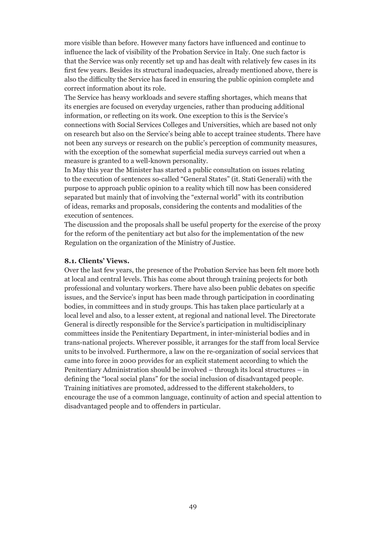more visible than before. However many factors have influenced and continue to influence the lack of visibility of the Probation Service in Italy. One such factor is that the Service was only recently set up and has dealt with relatively few cases in its first few years. Besides its structural inadequacies, already mentioned above, there is also the difficulty the Service has faced in ensuring the public opinion complete and correct information about its role.

The Service has heavy workloads and severe staffing shortages, which means that its energies are focused on everyday urgencies, rather than producing additional information, or reflecting on its work. One exception to this is the Service's connections with Social Services Colleges and Universities, which are based not only on research but also on the Service's being able to accept trainee students. There have not been any surveys or research on the public's perception of community measures, with the exception of the somewhat superficial media surveys carried out when a measure is granted to a well-known personality.

In May this year the Minister has started a public consultation on issues relating to the execution of sentences so-called "General States" (it. Stati Generali) with the purpose to approach public opinion to a reality which till now has been considered separated but mainly that of involving the "external world" with its contribution of ideas, remarks and proposals, considering the contents and modalities of the execution of sentences.

The discussion and the proposals shall be useful property for the exercise of the proxy for the reform of the penitentiary act but also for the implementation of the new Regulation on the organization of the Ministry of Justice.

#### **8.1. Clients' Views.**

Over the last few years, the presence of the Probation Service has been felt more both at local and central levels. This has come about through training projects for both professional and voluntary workers. There have also been public debates on specific issues, and the Service's input has been made through participation in coordinating bodies, in committees and in study groups. This has taken place particularly at a local level and also, to a lesser extent, at regional and national level. The Directorate General is directly responsible for the Service's participation in multidisciplinary committees inside the Penitentiary Department, in inter-ministerial bodies and in trans-national projects. Wherever possible, it arranges for the staff from local Service units to be involved. Furthermore, a law on the re-organization of social services that came into force in 2000 provides for an explicit statement according to which the Penitentiary Administration should be involved – through its local structures – in defining the "local social plans" for the social inclusion of disadvantaged people. Training initiatives are promoted, addressed to the different stakeholders, to encourage the use of a common language, continuity of action and special attention to disadvantaged people and to offenders in particular.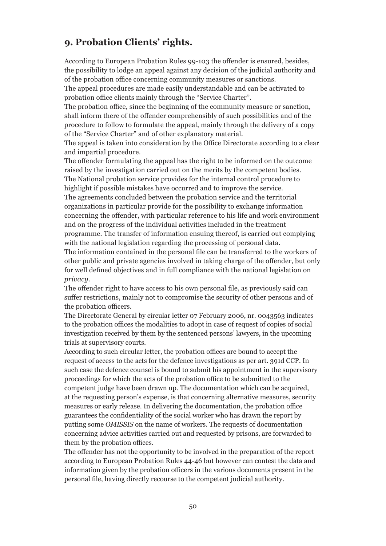### **9. Probation Clients' rights.**

According to European Probation Rules 99-103 the offender is ensured, besides, the possibility to lodge an appeal against any decision of the judicial authority and of the probation office concerning community measures or sanctions.

The appeal procedures are made easily understandable and can be activated to probation office clients mainly through the "Service Charter".

The probation office, since the beginning of the community measure or sanction, shall inform there of the offender comprehensibly of such possibilities and of the procedure to follow to formulate the appeal, mainly through the delivery of a copy of the "Service Charter" and of other explanatory material.

The appeal is taken into consideration by the Office Directorate according to a clear and impartial procedure.

The offender formulating the appeal has the right to be informed on the outcome raised by the investigation carried out on the merits by the competent bodies. The National probation service provides for the internal control procedure to highlight if possible mistakes have occurred and to improve the service.

The agreements concluded between the probation service and the territorial organizations in particular provide for the possibility to exchange information concerning the offender, with particular reference to his life and work environment and on the progress of the individual activities included in the treatment programme. The transfer of information ensuing thereof, is carried out complying with the national legislation regarding the processing of personal data.

The information contained in the personal file can be transferred to the workers of other public and private agencies involved in taking charge of the offender, but only for well defined objectives and in full compliance with the national legislation on *privacy*.

The offender right to have access to his own personal file, as previously said can suffer restrictions, mainly not to compromise the security of other persons and of the probation officers.

The Directorate General by circular letter 07 February 2006, nr. 0043563 indicates to the probation offices the modalities to adopt in case of request of copies of social investigation received by them by the sentenced persons' lawyers, in the upcoming trials at supervisory courts.

According to such circular letter, the probation offices are bound to accept the request of access to the acts for the defence investigations as per art. 391d CCP. In such case the defence counsel is bound to submit his appointment in the supervisory proceedings for which the acts of the probation office to be submitted to the competent judge have been drawn up. The documentation which can be acquired, at the requesting person's expense, is that concerning alternative measures, security measures or early release. In delivering the documentation, the probation office guarantees the confidentiality of the social worker who has drawn the report by putting some *OMISSIS* on the name of workers. The requests of documentation concerning advice activities carried out and requested by prisons, are forwarded to them by the probation offices.

The offender has not the opportunity to be involved in the preparation of the report according to European Probation Rules 44-46 but however can contest the data and information given by the probation officers in the various documents present in the personal file, having directly recourse to the competent judicial authority.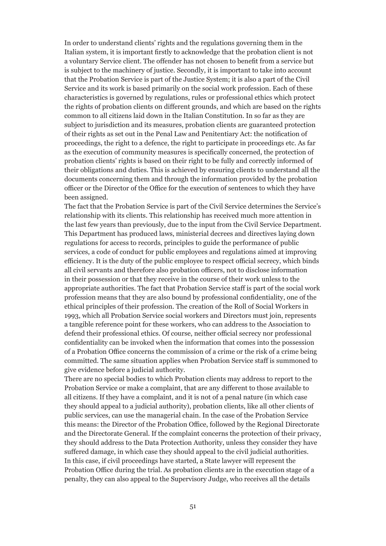In order to understand clients' rights and the regulations governing them in the Italian system, it is important firstly to acknowledge that the probation client is not a voluntary Service client. The offender has not chosen to benefit from a service but is subject to the machinery of justice. Secondly, it is important to take into account that the Probation Service is part of the Justice System; it is also a part of the Civil Service and its work is based primarily on the social work profession. Each of these characteristics is governed by regulations, rules or professional ethics which protect the rights of probation clients on different grounds, and which are based on the rights common to all citizens laid down in the Italian Constitution. In so far as they are subject to jurisdiction and its measures, probation clients are guaranteed protection of their rights as set out in the Penal Law and Penitentiary Act: the notification of proceedings, the right to a defence, the right to participate in proceedings etc. As far as the execution of community measures is specifically concerned, the protection of probation clients' rights is based on their right to be fully and correctly informed of their obligations and duties. This is achieved by ensuring clients to understand all the documents concerning them and through the information provided by the probation officer or the Director of the Office for the execution of sentences to which they have been assigned.

The fact that the Probation Service is part of the Civil Service determines the Service's relationship with its clients. This relationship has received much more attention in the last few years than previously, due to the input from the Civil Service Department. This Department has produced laws, ministerial decrees and directives laying down regulations for access to records, principles to guide the performance of public services, a code of conduct for public employees and regulations aimed at improving efficiency. It is the duty of the public employee to respect official secrecy, which binds all civil servants and therefore also probation officers, not to disclose information in their possession or that they receive in the course of their work unless to the appropriate authorities. The fact that Probation Service staff is part of the social work profession means that they are also bound by professional confidentiality, one of the ethical principles of their profession. The creation of the Roll of Social Workers in 1993, which all Probation Service social workers and Directors must join, represents a tangible reference point for these workers, who can address to the Association to defend their professional ethics. Of course, neither official secrecy nor professional confidentiality can be invoked when the information that comes into the possession of a Probation Office concerns the commission of a crime or the risk of a crime being committed. The same situation applies when Probation Service staff is summoned to give evidence before a judicial authority.

There are no special bodies to which Probation clients may address to report to the Probation Service or make a complaint, that are any different to those available to all citizens. If they have a complaint, and it is not of a penal nature (in which case they should appeal to a judicial authority), probation clients, like all other clients of public services, can use the managerial chain. In the case of the Probation Service this means: the Director of the Probation Office, followed by the Regional Directorate and the Directorate General. If the complaint concerns the protection of their privacy, they should address to the Data Protection Authority, unless they consider they have suffered damage, in which case they should appeal to the civil judicial authorities. In this case, if civil proceedings have started, a State lawyer will represent the Probation Office during the trial. As probation clients are in the execution stage of a penalty, they can also appeal to the Supervisory Judge, who receives all the details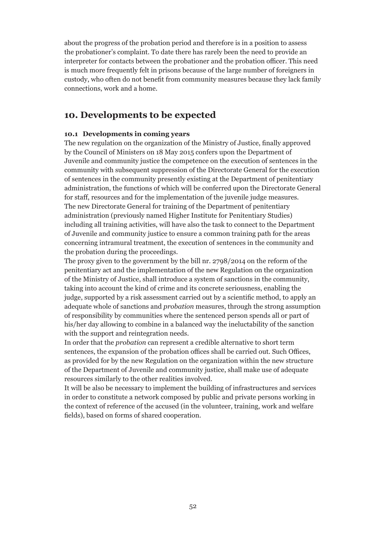about the progress of the probation period and therefore is in a position to assess the probationer's complaint. To date there has rarely been the need to provide an interpreter for contacts between the probationer and the probation officer. This need is much more frequently felt in prisons because of the large number of foreigners in custody, who often do not benefit from community measures because they lack family connections, work and a home.

#### **10. Developments to be expected**

#### **10.1 Developments in coming years**

The new regulation on the organization of the Ministry of Justice, finally approved by the Council of Ministers on 18 May 2015 confers upon the Department of Juvenile and community justice the competence on the execution of sentences in the community with subsequent suppression of the Directorate General for the execution of sentences in the community presently existing at the Department of penitentiary administration, the functions of which will be conferred upon the Directorate General for staff, resources and for the implementation of the juvenile judge measures. The new Directorate General for training of the Department of penitentiary administration (previously named Higher Institute for Penitentiary Studies) including all training activities, will have also the task to connect to the Department of Juvenile and community justice to ensure a common training path for the areas concerning intramural treatment, the execution of sentences in the community and the probation during the proceedings.

The proxy given to the government by the bill nr. 2798/2014 on the reform of the penitentiary act and the implementation of the new Regulation on the organization of the Ministry of Justice, shall introduce a system of sanctions in the community, taking into account the kind of crime and its concrete seriousness, enabling the judge, supported by a risk assessment carried out by a scientific method, to apply an adequate whole of sanctions and *probation* measures, through the strong assumption of responsibility by communities where the sentenced person spends all or part of his/her day allowing to combine in a balanced way the ineluctability of the sanction with the support and reintegration needs.

In order that the *probation* can represent a credible alternative to short term sentences, the expansion of the probation offices shall be carried out. Such Offices, as provided for by the new Regulation on the organization within the new structure of the Department of Juvenile and community justice, shall make use of adequate resources similarly to the other realities involved.

It will be also be necessary to implement the building of infrastructures and services in order to constitute a network composed by public and private persons working in the context of reference of the accused (in the volunteer, training, work and welfare fields), based on forms of shared cooperation.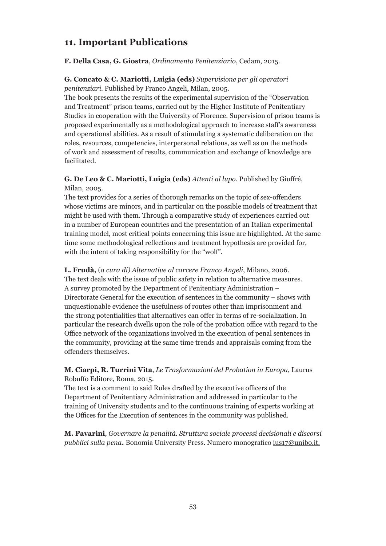### **11. Important Publications**

#### **F. Della Casa, G. Giostra**, *Ordinamento Penitenziario*, Cedam, 2015.

#### **G. Concato & C. Mariotti, Luigia (eds)** *Supervisione per gli operatori penitenziari.* Published by Franco Angeli, Milan, 2005.

The book presents the results of the experimental supervision of the "Observation and Treatment" prison teams, carried out by the Higher Institute of Penitentiary Studies in cooperation with the University of Florence. Supervision of prison teams is proposed experimentally as a methodological approach to increase staff's awareness and operational abilities. As a result of stimulating a systematic deliberation on the roles, resources, competencies, interpersonal relations, as well as on the methods of work and assessment of results, communication and exchange of knowledge are facilitated.

#### **G. De Leo & C. Mariotti, Luigia (eds)** *Attenti al lupo*. Published by Giuffré, Milan, 2005.

The text provides for a series of thorough remarks on the topic of sex-offenders whose victims are minors, and in particular on the possible models of treatment that might be used with them. Through a comparative study of experiences carried out in a number of European countries and the presentation of an Italian experimental training model, most critical points concerning this issue are highlighted. At the same time some methodological reflections and treatment hypothesis are provided for, with the intent of taking responsibility for the "wolf".

#### **L. Frudà,** (*a cura di) Alternative al carcere Franco Angeli*, Milano, 2006.

The text deals with the issue of public safety in relation to alternative measures. A survey promoted by the Department of Penitentiary Administration – Directorate General for the execution of sentences in the community – shows with unquestionable evidence the usefulness of routes other than imprisonment and the strong potentialities that alternatives can offer in terms of re-socialization. In particular the research dwells upon the role of the probation office with regard to the Office network of the organizations involved in the execution of penal sentences in the community, providing at the same time trends and appraisals coming from the offenders themselves.

#### **M. Ciarpi, R. Turrini Vita**, *Le Trasformazioni del Probation in Europa*, Laurus Robuffo Editore, Roma, 2015.

The text is a comment to said Rules drafted by the executive officers of the Department of Penitentiary Administration and addressed in particular to the training of University students and to the continuous training of experts working at the Offices for the Execution of sentences in the community was published.

**M. Pavarini**, *Governare la penalità. Struttura sociale processi decisionali e discorsi pubblici sulla pena***.** Bonomia University Press. Numero monografico ius17@unibo.it.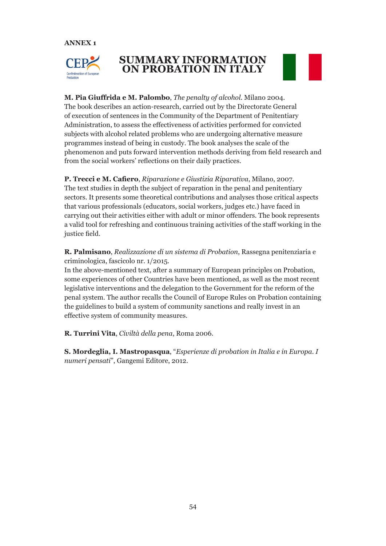**ANNEX 1**



## **SUMMARY INFORMATION ON PROBATION IN ITALY**



**M. Pia Giuffrida e M. Palombo**, *The penalty of alcohol*. Milano 2004. The book describes an action-research, carried out by the Directorate General of execution of sentences in the Community of the Department of Penitentiary Administration, to assess the effectiveness of activities performed for convicted subjects with alcohol related problems who are undergoing alternative measure programmes instead of being in custody. The book analyses the scale of the phenomenon and puts forward intervention methods deriving from field research and from the social workers' reflections on their daily practices.

**P. Trecci e M. Cafiero**, *Riparazione e Giustizia Riparativa*, Milano, 2007. The text studies in depth the subject of reparation in the penal and penitentiary sectors. It presents some theoretical contributions and analyses those critical aspects that various professionals (educators, social workers, judges etc.) have faced in carrying out their activities either with adult or minor offenders. The book represents a valid tool for refreshing and continuous training activities of the staff working in the justice field.

**R. Palmisano**, *Realizzazione di un sistema di Probation*, Rassegna penitenziaria e criminologica, fascicolo nr. 1/2015.

In the above-mentioned text, after a summary of European principles on Probation, some experiences of other Countries have been mentioned, as well as the most recent legislative interventions and the delegation to the Government for the reform of the penal system. The author recalls the Council of Europe Rules on Probation containing the guidelines to build a system of community sanctions and really invest in an effective system of community measures.

**R. Turrini Vita**, *Civiltà della pena*, Roma 2006.

**S. Mordeglia, I. Mastropasqua**, "*Esperienze di probation in Italia e in Europa. I numeri pensati*", Gangemi Editore, 2012.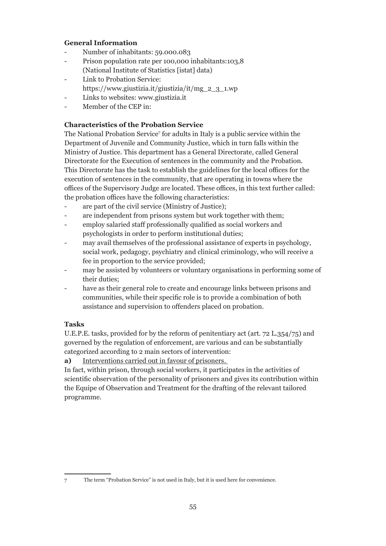#### **General Information**

- Number of inhabitants: 59.000.083
- Prison population rate per 100,000 inhabitants:103,8 (National Institute of Statistics [istat] data)
- Link to Probation Service: https://www.giustizia.it/giustizia/it/mg\_2\_3\_1.wp
- Links to websites: www.giustizia.it
- Member of the CEP in:

#### **Characteristics of the Probation Service**

The National Probation Service<sup>7</sup> for adults in Italy is a public service within the Department of Juvenile and Community Justice, which in turn falls within the Ministry of Justice. This department has a General Directorate, called General Directorate for the Execution of sentences in the community and the Probation. This Directorate has the task to establish the guidelines for the local offices for the execution of sentences in the community, that are operating in towns where the offices of the Supervisory Judge are located. These offices, in this text further called: the probation offices have the following characteristics:

- are part of the civil service (Ministry of Justice);
- are independent from prisons system but work together with them;
- employ salaried staff professionally qualified as social workers and psychologists in order to perform institutional duties;
- may avail themselves of the professional assistance of experts in psychology, social work, pedagogy, psychiatry and clinical criminology, who will receive a fee in proportion to the service provided;
- may be assisted by volunteers or voluntary organisations in performing some of their duties;
- have as their general role to create and encourage links between prisons and communities, while their specific role is to provide a combination of both assistance and supervision to offenders placed on probation.

#### **Tasks**

U.E.P.E. tasks, provided for by the reform of penitentiary act (art. 72 L.354/75) and governed by the regulation of enforcement, are various and can be substantially categorized according to 2 main sectors of intervention:

**a)** Interventions carried out in favour of prisoners.

In fact, within prison, through social workers, it participates in the activities of scientific observation of the personality of prisoners and gives its contribution within the Equipe of Observation and Treatment for the drafting of the relevant tailored programme.

<sup>7</sup> The term "Probation Service" is not used in Italy, but it is used here for convenience.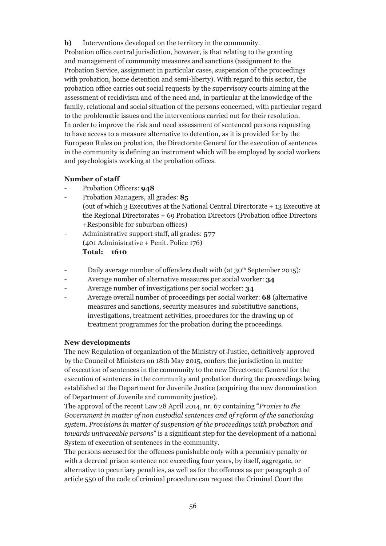**b)** Interventions developed on the territory in the community.

Probation office central jurisdiction, however, is that relating to the granting and management of community measures and sanctions (assignment to the Probation Service, assignment in particular cases, suspension of the proceedings with probation, home detention and semi-liberty). With regard to this sector, the probation office carries out social requests by the supervisory courts aiming at the assessment of recidivism and of the need and, in particular at the knowledge of the family, relational and social situation of the persons concerned, with particular regard to the problematic issues and the interventions carried out for their resolution. In order to improve the risk and need assessment of sentenced persons requesting to have access to a measure alternative to detention, as it is provided for by the European Rules on probation, the Directorate General for the execution of sentences in the community is defining an instrument which will be employed by social workers and psychologists working at the probation offices.

#### **Number of staff**

- Probation Officers: **948**
- Probation Managers, all grades: **85** (out of which 3 Executives at the National Central Directorate + 13 Executive at the Regional Directorates + 69 Probation Directors (Probation office Directors +Responsible for suburban offices)
- Administrative support staff, all grades: **577** (401 Administrative + Penit. Police 176) **Total: 1610**
- Daily average number of offenders dealt with (at 30<sup>th</sup> September 2015):
- Average number of alternative measures per social worker: **34**
- Average number of investigations per social worker: **34**
- Average overall number of proceedings per social worker: **68** (alternative measures and sanctions, security measures and substitutive sanctions, investigations, treatment activities, procedures for the drawing up of treatment programmes for the probation during the proceedings.

#### **New developments**

The new Regulation of organization of the Ministry of Justice, definitively approved by the Council of Ministers on 18th May 2015, confers the jurisdiction in matter of execution of sentences in the community to the new Directorate General for the execution of sentences in the community and probation during the proceedings being established at the Department for Juvenile Justice (acquiring the new denomination of Department of Juvenile and community justice).

The approval of the recent Law 28 April 2014, nr. 67 containing "*Proxies to the Government in matter of non custodial sentences and of reform of the sanctioning system. Provisions in matter of suspension of the proceedings with probation and towards untraceable persons*" is a significant step for the development of a national System of execution of sentences in the community.

The persons accused for the offences punishable only with a pecuniary penalty or with a decreed prison sentence not exceeding four years, by itself, aggregate, or alternative to pecuniary penalties, as well as for the offences as per paragraph 2 of article 550 of the code of criminal procedure can request the Criminal Court the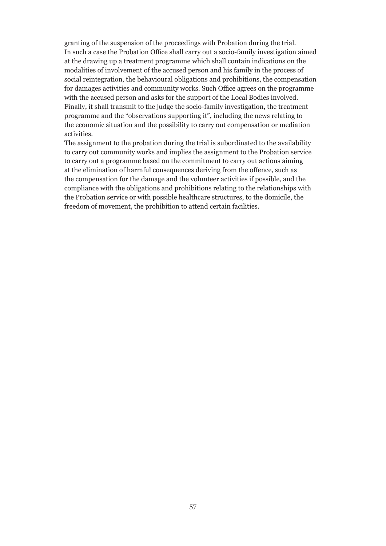granting of the suspension of the proceedings with Probation during the trial. In such a case the Probation Office shall carry out a socio-family investigation aimed at the drawing up a treatment programme which shall contain indications on the modalities of involvement of the accused person and his family in the process of social reintegration, the behavioural obligations and prohibitions, the compensation for damages activities and community works. Such Office agrees on the programme with the accused person and asks for the support of the Local Bodies involved. Finally, it shall transmit to the judge the socio-family investigation, the treatment programme and the "observations supporting it", including the news relating to the economic situation and the possibility to carry out compensation or mediation activities.

The assignment to the probation during the trial is subordinated to the availability to carry out community works and implies the assignment to the Probation service to carry out a programme based on the commitment to carry out actions aiming at the elimination of harmful consequences deriving from the offence, such as the compensation for the damage and the volunteer activities if possible, and the compliance with the obligations and prohibitions relating to the relationships with the Probation service or with possible healthcare structures, to the domicile, the freedom of movement, the prohibition to attend certain facilities.